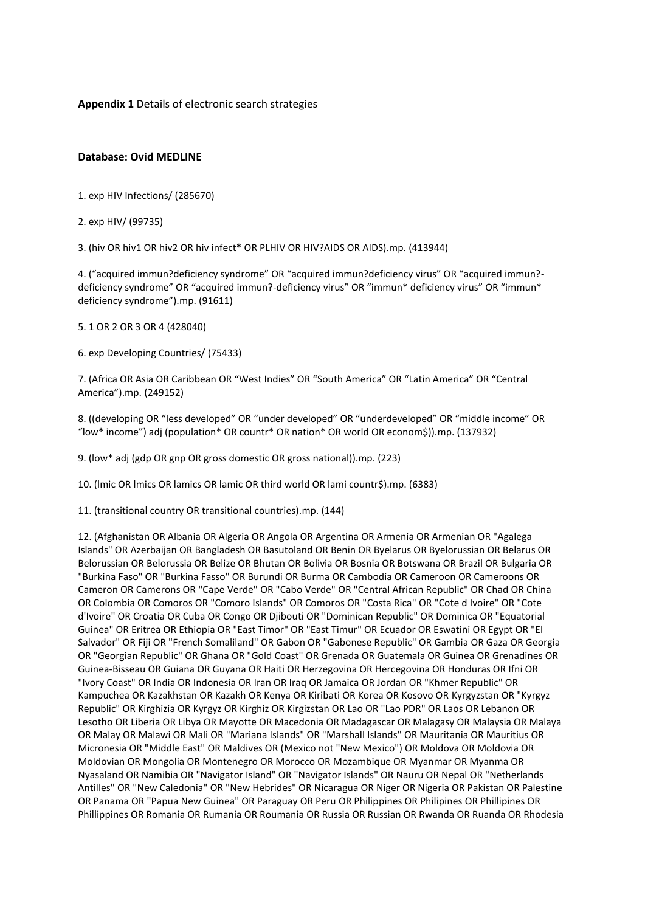**Appendix 1** Details of electronic search strategies

### **Database: Ovid MEDLINE**

- 1. exp HIV Infections/ (285670)
- 2. exp HIV/ (99735)

3. (hiv OR hiv1 OR hiv2 OR hiv infect\* OR PLHIV OR HIV?AIDS OR AIDS).mp. (413944)

4. ("acquired immun?deficiency syndrome" OR "acquired immun?deficiency virus" OR "acquired immun? deficiency syndrome" OR "acquired immun?-deficiency virus" OR "immun\* deficiency virus" OR "immun\* deficiency syndrome").mp. (91611)

5. 1 OR 2 OR 3 OR 4 (428040)

6. exp Developing Countries/ (75433)

7. (Africa OR Asia OR Caribbean OR "West Indies" OR "South America" OR "Latin America" OR "Central America").mp. (249152)

8. ((developing OR "less developed" OR "under developed" OR "underdeveloped" OR "middle income" OR "low\* income") adj (population\* OR countr\* OR nation\* OR world OR econom\$)).mp. (137932)

9. (low\* adj (gdp OR gnp OR gross domestic OR gross national)).mp. (223)

10. (lmic OR lmics OR lamics OR lamic OR third world OR lami countr\$).mp. (6383)

11. (transitional country OR transitional countries).mp. (144)

12. (Afghanistan OR Albania OR Algeria OR Angola OR Argentina OR Armenia OR Armenian OR "Agalega Islands" OR Azerbaijan OR Bangladesh OR Basutoland OR Benin OR Byelarus OR Byelorussian OR Belarus OR Belorussian OR Belorussia OR Belize OR Bhutan OR Bolivia OR Bosnia OR Botswana OR Brazil OR Bulgaria OR "Burkina Faso" OR "Burkina Fasso" OR Burundi OR Burma OR Cambodia OR Cameroon OR Cameroons OR Cameron OR Camerons OR "Cape Verde" OR "Cabo Verde" OR "Central African Republic" OR Chad OR China OR Colombia OR Comoros OR "Comoro Islands" OR Comoros OR "Costa Rica" OR "Cote d Ivoire" OR "Cote d'Ivoire" OR Croatia OR Cuba OR Congo OR Djibouti OR "Dominican Republic" OR Dominica OR "Equatorial Guinea" OR Eritrea OR Ethiopia OR "East Timor" OR "East Timur" OR Ecuador OR Eswatini OR Egypt OR "El Salvador" OR Fiji OR "French Somaliland" OR Gabon OR "Gabonese Republic" OR Gambia OR Gaza OR Georgia OR "Georgian Republic" OR Ghana OR "Gold Coast" OR Grenada OR Guatemala OR Guinea OR Grenadines OR Guinea-Bisseau OR Guiana OR Guyana OR Haiti OR Herzegovina OR Hercegovina OR Honduras OR Ifni OR "Ivory Coast" OR India OR Indonesia OR Iran OR Iraq OR Jamaica OR Jordan OR "Khmer Republic" OR Kampuchea OR Kazakhstan OR Kazakh OR Kenya OR Kiribati OR Korea OR Kosovo OR Kyrgyzstan OR "Kyrgyz Republic" OR Kirghizia OR Kyrgyz OR Kirghiz OR Kirgizstan OR Lao OR "Lao PDR" OR Laos OR Lebanon OR Lesotho OR Liberia OR Libya OR Mayotte OR Macedonia OR Madagascar OR Malagasy OR Malaysia OR Malaya OR Malay OR Malawi OR Mali OR "Mariana Islands" OR "Marshall Islands" OR Mauritania OR Mauritius OR Micronesia OR "Middle East" OR Maldives OR (Mexico not "New Mexico") OR Moldova OR Moldovia OR Moldovian OR Mongolia OR Montenegro OR Morocco OR Mozambique OR Myanmar OR Myanma OR Nyasaland OR Namibia OR "Navigator Island" OR "Navigator Islands" OR Nauru OR Nepal OR "Netherlands Antilles" OR "New Caledonia" OR "New Hebrides" OR Nicaragua OR Niger OR Nigeria OR Pakistan OR Palestine OR Panama OR "Papua New Guinea" OR Paraguay OR Peru OR Philippines OR Philipines OR Phillipines OR Phillippines OR Romania OR Rumania OR Roumania OR Russia OR Russian OR Rwanda OR Ruanda OR Rhodesia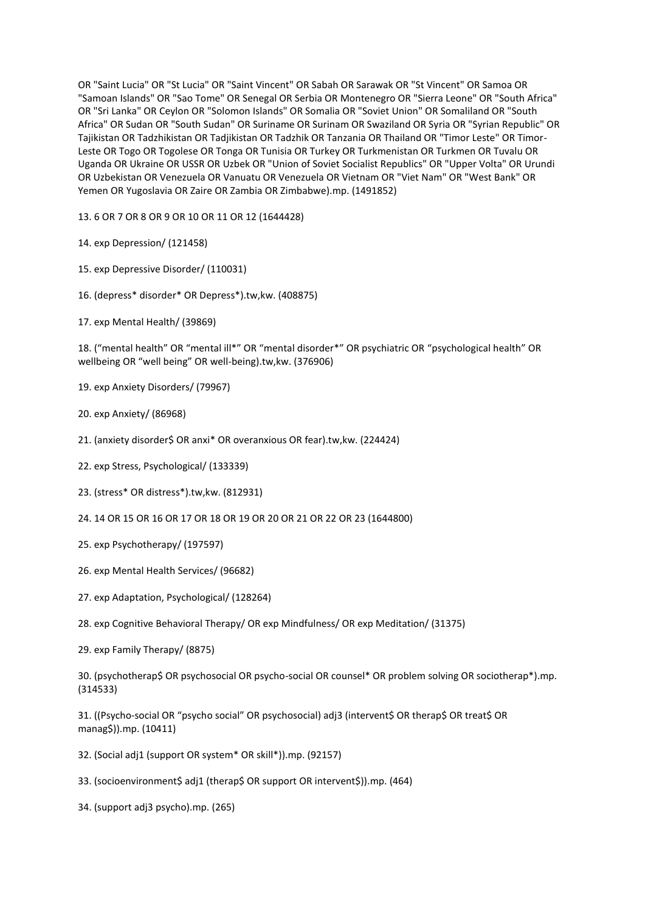OR "Saint Lucia" OR "St Lucia" OR "Saint Vincent" OR Sabah OR Sarawak OR "St Vincent" OR Samoa OR "Samoan Islands" OR "Sao Tome" OR Senegal OR Serbia OR Montenegro OR "Sierra Leone" OR "South Africa" OR "Sri Lanka" OR Ceylon OR "Solomon Islands" OR Somalia OR "Soviet Union" OR Somaliland OR "South Africa" OR Sudan OR "South Sudan" OR Suriname OR Surinam OR Swaziland OR Syria OR "Syrian Republic" OR Tajikistan OR Tadzhikistan OR Tadjikistan OR Tadzhik OR Tanzania OR Thailand OR "Timor Leste" OR Timor-Leste OR Togo OR Togolese OR Tonga OR Tunisia OR Turkey OR Turkmenistan OR Turkmen OR Tuvalu OR Uganda OR Ukraine OR USSR OR Uzbek OR "Union of Soviet Socialist Republics" OR "Upper Volta" OR Urundi OR Uzbekistan OR Venezuela OR Vanuatu OR Venezuela OR Vietnam OR "Viet Nam" OR "West Bank" OR Yemen OR Yugoslavia OR Zaire OR Zambia OR Zimbabwe).mp. (1491852)

13. 6 OR 7 OR 8 OR 9 OR 10 OR 11 OR 12 (1644428)

14. exp Depression/ (121458)

- 15. exp Depressive Disorder/ (110031)
- 16. (depress\* disorder\* OR Depress\*).tw,kw. (408875)
- 17. exp Mental Health/ (39869)

18. ("mental health" OR "mental ill\*" OR "mental disorder\*" OR psychiatric OR "psychological health" OR wellbeing OR "well being" OR well-being).tw,kw. (376906)

- 19. exp Anxiety Disorders/ (79967)
- 20. exp Anxiety/ (86968)
- 21. (anxiety disorder\$ OR anxi\* OR overanxious OR fear).tw,kw. (224424)
- 22. exp Stress, Psychological/ (133339)
- 23. (stress\* OR distress\*).tw,kw. (812931)
- 24. 14 OR 15 OR 16 OR 17 OR 18 OR 19 OR 20 OR 21 OR 22 OR 23 (1644800)
- 25. exp Psychotherapy/ (197597)
- 26. exp Mental Health Services/ (96682)
- 27. exp Adaptation, Psychological/ (128264)
- 28. exp Cognitive Behavioral Therapy/ OR exp Mindfulness/ OR exp Meditation/ (31375)
- 29. exp Family Therapy/ (8875)

30. (psychotherap\$ OR psychosocial OR psycho-social OR counsel\* OR problem solving OR sociotherap\*).mp. (314533)

31. ((Psycho-social OR "psycho social" OR psychosocial) adj3 (intervent\$ OR therap\$ OR treat\$ OR manag\$)).mp. (10411)

32. (Social adj1 (support OR system\* OR skill\*)).mp. (92157)

33. (socioenvironment\$ adj1 (therap\$ OR support OR intervent\$)).mp. (464)

34. (support adj3 psycho).mp. (265)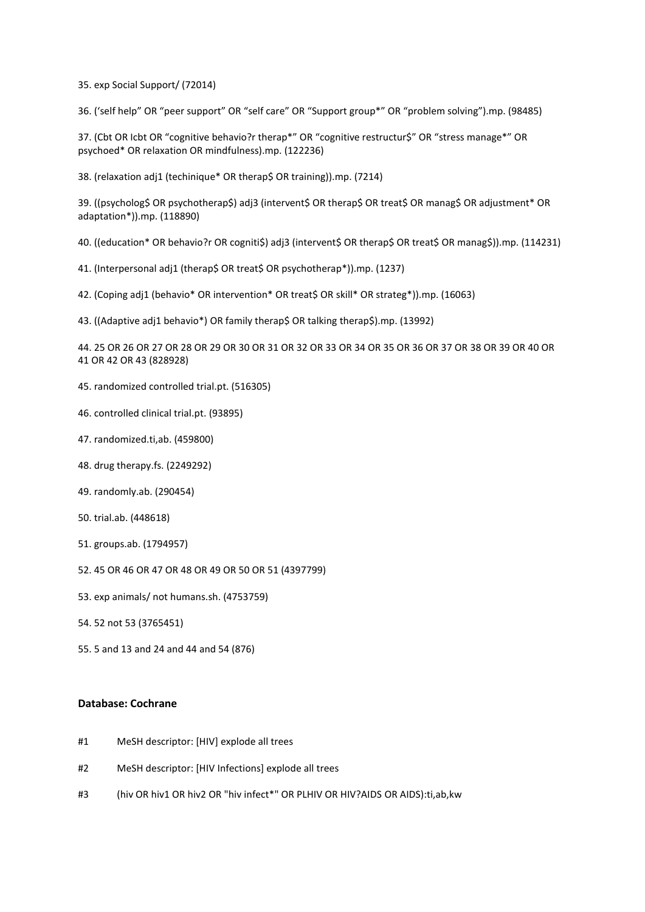35. exp Social Support/ (72014)

36. ('self help" OR "peer support" OR "self care" OR "Support group\*" OR "problem solving").mp. (98485)

37. (Cbt OR Icbt OR "cognitive behavio?r therap\*" OR "cognitive restructur\$" OR "stress manage\*" OR psychoed\* OR relaxation OR mindfulness).mp. (122236)

38. (relaxation adj1 (techinique\* OR therap\$ OR training)).mp. (7214)

39. ((psycholog\$ OR psychotherap\$) adj3 (intervent\$ OR therap\$ OR treat\$ OR manag\$ OR adjustment\* OR adaptation\*)).mp. (118890)

40. ((education\* OR behavio?r OR cogniti\$) adj3 (intervent\$ OR therap\$ OR treat\$ OR manag\$)).mp. (114231)

41. (Interpersonal adj1 (therap\$ OR treat\$ OR psychotherap\*)).mp. (1237)

42. (Coping adj1 (behavio\* OR intervention\* OR treat\$ OR skill\* OR strateg\*)).mp. (16063)

43. ((Adaptive adj1 behavio\*) OR family therap\$ OR talking therap\$).mp. (13992)

44. 25 OR 26 OR 27 OR 28 OR 29 OR 30 OR 31 OR 32 OR 33 OR 34 OR 35 OR 36 OR 37 OR 38 OR 39 OR 40 OR 41 OR 42 OR 43 (828928)

- 45. randomized controlled trial.pt. (516305)
- 46. controlled clinical trial.pt. (93895)
- 47. randomized.ti,ab. (459800)
- 48. drug therapy.fs. (2249292)
- 49. randomly.ab. (290454)
- 50. trial.ab. (448618)
- 51. groups.ab. (1794957)
- 52. 45 OR 46 OR 47 OR 48 OR 49 OR 50 OR 51 (4397799)
- 53. exp animals/ not humans.sh. (4753759)
- 54. 52 not 53 (3765451)
- 55. 5 and 13 and 24 and 44 and 54 (876)

#### **Database: Cochrane**

- #1 MeSH descriptor: [HIV] explode all trees
- #2 MeSH descriptor: [HIV Infections] explode all trees
- #3 (hiv OR hiv1 OR hiv2 OR "hiv infect\*" OR PLHIV OR HIV?AIDS OR AIDS):ti,ab,kw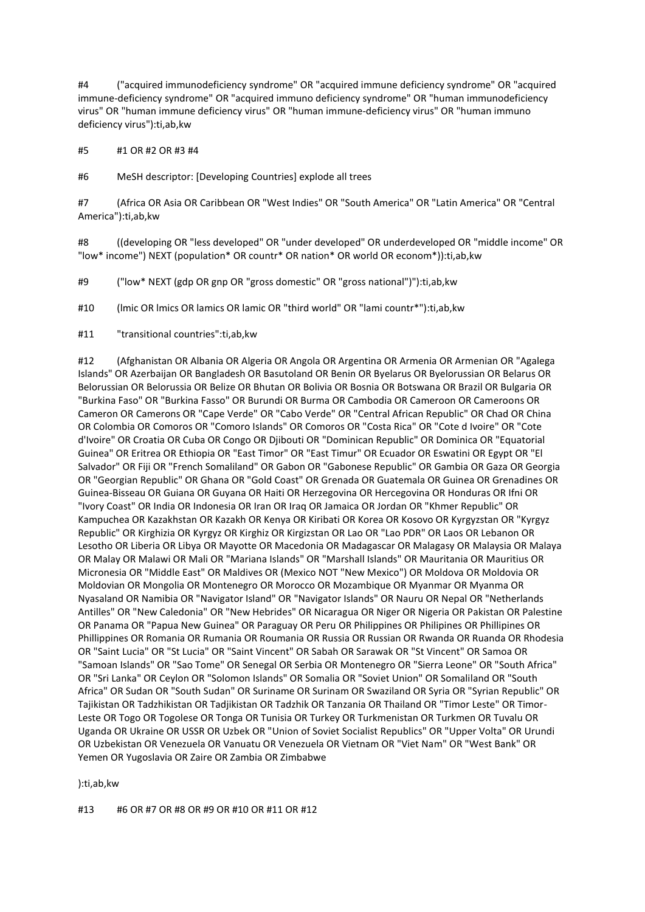#4 ("acquired immunodeficiency syndrome" OR "acquired immune deficiency syndrome" OR "acquired immune-deficiency syndrome" OR "acquired immuno deficiency syndrome" OR "human immunodeficiency virus" OR "human immune deficiency virus" OR "human immune-deficiency virus" OR "human immuno deficiency virus"):ti,ab,kw

#5 #1 OR #2 OR #3 #4

#6 MeSH descriptor: [Developing Countries] explode all trees

#7 (Africa OR Asia OR Caribbean OR "West Indies" OR "South America" OR "Latin America" OR "Central America"):ti,ab,kw

#8 ((developing OR "less developed" OR "under developed" OR underdeveloped OR "middle income" OR "low\* income") NEXT (population\* OR countr\* OR nation\* OR world OR econom\*)):ti,ab,kw

#9 ("low\* NEXT (gdp OR gnp OR "gross domestic" OR "gross national")"):ti,ab,kw

#10 (lmic OR lmics OR lamics OR lamic OR "third world" OR "lami countr\*"):ti,ab,kw

#11 "transitional countries":ti,ab,kw

#12 (Afghanistan OR Albania OR Algeria OR Angola OR Argentina OR Armenia OR Armenian OR "Agalega Islands" OR Azerbaijan OR Bangladesh OR Basutoland OR Benin OR Byelarus OR Byelorussian OR Belarus OR Belorussian OR Belorussia OR Belize OR Bhutan OR Bolivia OR Bosnia OR Botswana OR Brazil OR Bulgaria OR "Burkina Faso" OR "Burkina Fasso" OR Burundi OR Burma OR Cambodia OR Cameroon OR Cameroons OR Cameron OR Camerons OR "Cape Verde" OR "Cabo Verde" OR "Central African Republic" OR Chad OR China OR Colombia OR Comoros OR "Comoro Islands" OR Comoros OR "Costa Rica" OR "Cote d Ivoire" OR "Cote d'Ivoire" OR Croatia OR Cuba OR Congo OR Djibouti OR "Dominican Republic" OR Dominica OR "Equatorial Guinea" OR Eritrea OR Ethiopia OR "East Timor" OR "East Timur" OR Ecuador OR Eswatini OR Egypt OR "El Salvador" OR Fiji OR "French Somaliland" OR Gabon OR "Gabonese Republic" OR Gambia OR Gaza OR Georgia OR "Georgian Republic" OR Ghana OR "Gold Coast" OR Grenada OR Guatemala OR Guinea OR Grenadines OR Guinea-Bisseau OR Guiana OR Guyana OR Haiti OR Herzegovina OR Hercegovina OR Honduras OR Ifni OR "Ivory Coast" OR India OR Indonesia OR Iran OR Iraq OR Jamaica OR Jordan OR "Khmer Republic" OR Kampuchea OR Kazakhstan OR Kazakh OR Kenya OR Kiribati OR Korea OR Kosovo OR Kyrgyzstan OR "Kyrgyz Republic" OR Kirghizia OR Kyrgyz OR Kirghiz OR Kirgizstan OR Lao OR "Lao PDR" OR Laos OR Lebanon OR Lesotho OR Liberia OR Libya OR Mayotte OR Macedonia OR Madagascar OR Malagasy OR Malaysia OR Malaya OR Malay OR Malawi OR Mali OR "Mariana Islands" OR "Marshall Islands" OR Mauritania OR Mauritius OR Micronesia OR "Middle East" OR Maldives OR (Mexico NOT "New Mexico") OR Moldova OR Moldovia OR Moldovian OR Mongolia OR Montenegro OR Morocco OR Mozambique OR Myanmar OR Myanma OR Nyasaland OR Namibia OR "Navigator Island" OR "Navigator Islands" OR Nauru OR Nepal OR "Netherlands Antilles" OR "New Caledonia" OR "New Hebrides" OR Nicaragua OR Niger OR Nigeria OR Pakistan OR Palestine OR Panama OR "Papua New Guinea" OR Paraguay OR Peru OR Philippines OR Philipines OR Phillipines OR Phillippines OR Romania OR Rumania OR Roumania OR Russia OR Russian OR Rwanda OR Ruanda OR Rhodesia OR "Saint Lucia" OR "St Lucia" OR "Saint Vincent" OR Sabah OR Sarawak OR "St Vincent" OR Samoa OR "Samoan Islands" OR "Sao Tome" OR Senegal OR Serbia OR Montenegro OR "Sierra Leone" OR "South Africa" OR "Sri Lanka" OR Ceylon OR "Solomon Islands" OR Somalia OR "Soviet Union" OR Somaliland OR "South Africa" OR Sudan OR "South Sudan" OR Suriname OR Surinam OR Swaziland OR Syria OR "Syrian Republic" OR Tajikistan OR Tadzhikistan OR Tadjikistan OR Tadzhik OR Tanzania OR Thailand OR "Timor Leste" OR Timor-Leste OR Togo OR Togolese OR Tonga OR Tunisia OR Turkey OR Turkmenistan OR Turkmen OR Tuvalu OR Uganda OR Ukraine OR USSR OR Uzbek OR "Union of Soviet Socialist Republics" OR "Upper Volta" OR Urundi OR Uzbekistan OR Venezuela OR Vanuatu OR Venezuela OR Vietnam OR "Viet Nam" OR "West Bank" OR Yemen OR Yugoslavia OR Zaire OR Zambia OR Zimbabwe

):ti,ab,kw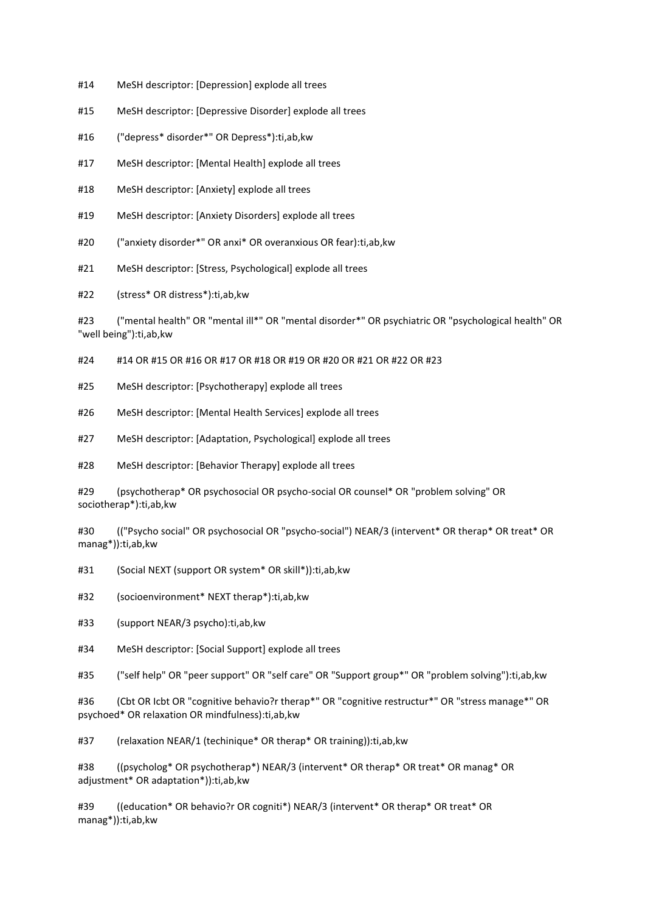- #14 MeSH descriptor: [Depression] explode all trees
- #15 MeSH descriptor: [Depressive Disorder] explode all trees
- #16 ("depress\* disorder\*" OR Depress\*):ti,ab,kw
- #17 MeSH descriptor: [Mental Health] explode all trees
- #18 MeSH descriptor: [Anxiety] explode all trees
- #19 MeSH descriptor: [Anxiety Disorders] explode all trees
- #20 ("anxiety disorder\*" OR anxi\* OR overanxious OR fear):ti,ab,kw
- #21 MeSH descriptor: [Stress, Psychological] explode all trees

#22 (stress\* OR distress\*):ti,ab,kw

#23 ("mental health" OR "mental ill\*" OR "mental disorder\*" OR psychiatric OR "psychological health" OR "well being"):ti,ab,kw

#24 #14 OR #15 OR #16 OR #17 OR #18 OR #19 OR #20 OR #21 OR #22 OR #23

- #25 MeSH descriptor: [Psychotherapy] explode all trees
- #26 MeSH descriptor: [Mental Health Services] explode all trees
- #27 MeSH descriptor: [Adaptation, Psychological] explode all trees
- #28 MeSH descriptor: [Behavior Therapy] explode all trees

#29 (psychotherap\* OR psychosocial OR psycho-social OR counsel\* OR "problem solving" OR sociotherap\*):ti,ab,kw

#30 (("Psycho social" OR psychosocial OR "psycho-social") NEAR/3 (intervent\* OR therap\* OR treat\* OR manag\*)):ti,ab,kw

#31 (Social NEXT (support OR system\* OR skill\*)):ti,ab,kw

#32 (socioenvironment\* NEXT therap\*):ti,ab,kw

- #33 (support NEAR/3 psycho):ti,ab,kw
- #34 MeSH descriptor: [Social Support] explode all trees

#35 ("self help" OR "peer support" OR "self care" OR "Support group\*" OR "problem solving"):ti,ab,kw

#36 (Cbt OR Icbt OR "cognitive behavio?r therap\*" OR "cognitive restructur\*" OR "stress manage\*" OR psychoed\* OR relaxation OR mindfulness):ti,ab,kw

#37 (relaxation NEAR/1 (techinique\* OR therap\* OR training)):ti,ab,kw

#38 ((psycholog\* OR psychotherap\*) NEAR/3 (intervent\* OR therap\* OR treat\* OR manag\* OR adjustment\* OR adaptation\*)):ti,ab,kw

#39 ((education\* OR behavio?r OR cogniti\*) NEAR/3 (intervent\* OR therap\* OR treat\* OR manag\*)):ti,ab,kw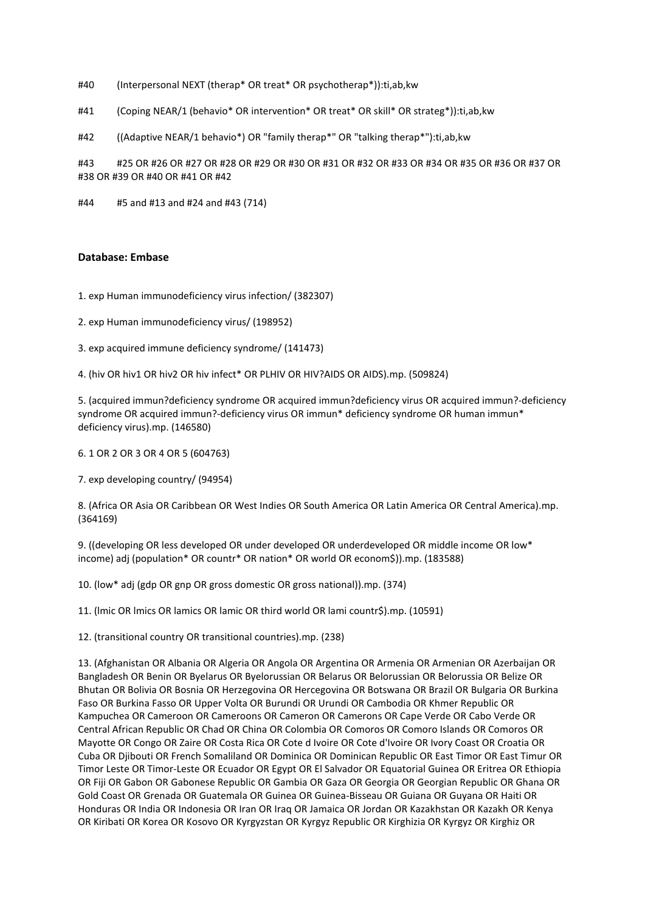- #40 (Interpersonal NEXT (therap\* OR treat\* OR psychotherap\*)):ti,ab,kw
- #41 (Coping NEAR/1 (behavio\* OR intervention\* OR treat\* OR skill\* OR strateg\*)):ti,ab,kw
- #42 ((Adaptive NEAR/1 behavio\*) OR "family therap\*" OR "talking therap\*"):ti,ab,kw

#43 #25 OR #26 OR #27 OR #28 OR #29 OR #30 OR #31 OR #32 OR #33 OR #34 OR #35 OR #36 OR #37 OR #38 OR #39 OR #40 OR #41 OR #42

#44 #5 and #13 and #24 and #43 (714)

#### **Database: Embase**

- 1. exp Human immunodeficiency virus infection/ (382307)
- 2. exp Human immunodeficiency virus/ (198952)
- 3. exp acquired immune deficiency syndrome/ (141473)

4. (hiv OR hiv1 OR hiv2 OR hiv infect\* OR PLHIV OR HIV?AIDS OR AIDS).mp. (509824)

5. (acquired immun?deficiency syndrome OR acquired immun?deficiency virus OR acquired immun?-deficiency syndrome OR acquired immun?-deficiency virus OR immun\* deficiency syndrome OR human immun\* deficiency virus).mp. (146580)

6. 1 OR 2 OR 3 OR 4 OR 5 (604763)

7. exp developing country/ (94954)

8. (Africa OR Asia OR Caribbean OR West Indies OR South America OR Latin America OR Central America).mp. (364169)

9. ((developing OR less developed OR under developed OR underdeveloped OR middle income OR low\* income) adj (population\* OR countr\* OR nation\* OR world OR econom\$)).mp. (183588)

10. (low\* adj (gdp OR gnp OR gross domestic OR gross national)).mp. (374)

11. (lmic OR lmics OR lamics OR lamic OR third world OR lami countr\$).mp. (10591)

12. (transitional country OR transitional countries).mp. (238)

13. (Afghanistan OR Albania OR Algeria OR Angola OR Argentina OR Armenia OR Armenian OR Azerbaijan OR Bangladesh OR Benin OR Byelarus OR Byelorussian OR Belarus OR Belorussian OR Belorussia OR Belize OR Bhutan OR Bolivia OR Bosnia OR Herzegovina OR Hercegovina OR Botswana OR Brazil OR Bulgaria OR Burkina Faso OR Burkina Fasso OR Upper Volta OR Burundi OR Urundi OR Cambodia OR Khmer Republic OR Kampuchea OR Cameroon OR Cameroons OR Cameron OR Camerons OR Cape Verde OR Cabo Verde OR Central African Republic OR Chad OR China OR Colombia OR Comoros OR Comoro Islands OR Comoros OR Mayotte OR Congo OR Zaire OR Costa Rica OR Cote d Ivoire OR Cote d'Ivoire OR Ivory Coast OR Croatia OR Cuba OR Djibouti OR French Somaliland OR Dominica OR Dominican Republic OR East Timor OR East Timur OR Timor Leste OR Timor-Leste OR Ecuador OR Egypt OR El Salvador OR Equatorial Guinea OR Eritrea OR Ethiopia OR Fiji OR Gabon OR Gabonese Republic OR Gambia OR Gaza OR Georgia OR Georgian Republic OR Ghana OR Gold Coast OR Grenada OR Guatemala OR Guinea OR Guinea-Bisseau OR Guiana OR Guyana OR Haiti OR Honduras OR India OR Indonesia OR Iran OR Iraq OR Jamaica OR Jordan OR Kazakhstan OR Kazakh OR Kenya OR Kiribati OR Korea OR Kosovo OR Kyrgyzstan OR Kyrgyz Republic OR Kirghizia OR Kyrgyz OR Kirghiz OR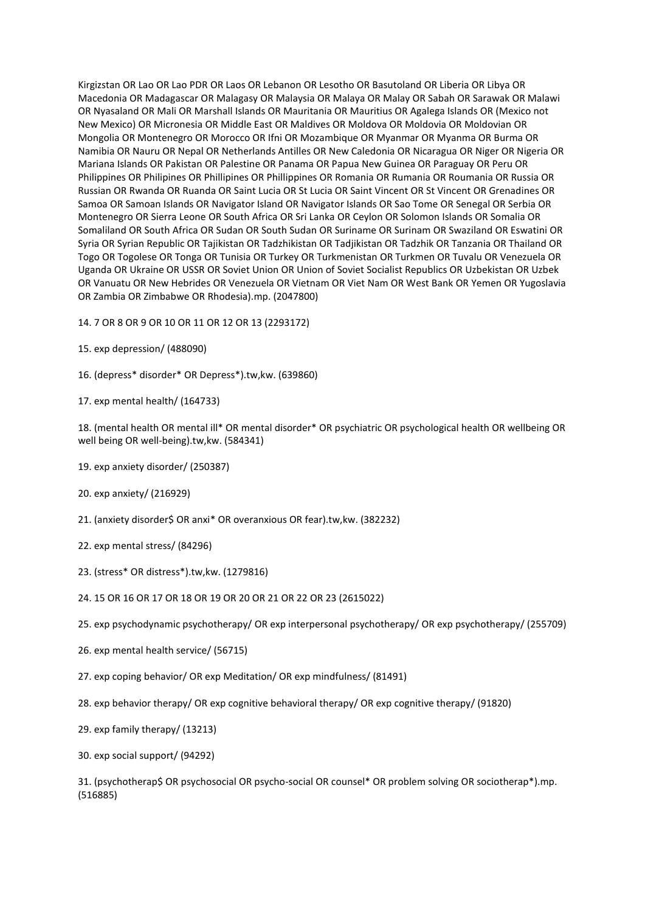Kirgizstan OR Lao OR Lao PDR OR Laos OR Lebanon OR Lesotho OR Basutoland OR Liberia OR Libya OR Macedonia OR Madagascar OR Malagasy OR Malaysia OR Malaya OR Malay OR Sabah OR Sarawak OR Malawi OR Nyasaland OR Mali OR Marshall Islands OR Mauritania OR Mauritius OR Agalega Islands OR (Mexico not New Mexico) OR Micronesia OR Middle East OR Maldives OR Moldova OR Moldovia OR Moldovian OR Mongolia OR Montenegro OR Morocco OR Ifni OR Mozambique OR Myanmar OR Myanma OR Burma OR Namibia OR Nauru OR Nepal OR Netherlands Antilles OR New Caledonia OR Nicaragua OR Niger OR Nigeria OR Mariana Islands OR Pakistan OR Palestine OR Panama OR Papua New Guinea OR Paraguay OR Peru OR Philippines OR Philipines OR Phillipines OR Phillippines OR Romania OR Rumania OR Roumania OR Russia OR Russian OR Rwanda OR Ruanda OR Saint Lucia OR St Lucia OR Saint Vincent OR St Vincent OR Grenadines OR Samoa OR Samoan Islands OR Navigator Island OR Navigator Islands OR Sao Tome OR Senegal OR Serbia OR Montenegro OR Sierra Leone OR South Africa OR Sri Lanka OR Ceylon OR Solomon Islands OR Somalia OR Somaliland OR South Africa OR Sudan OR South Sudan OR Suriname OR Surinam OR Swaziland OR Eswatini OR Syria OR Syrian Republic OR Tajikistan OR Tadzhikistan OR Tadjikistan OR Tadzhik OR Tanzania OR Thailand OR Togo OR Togolese OR Tonga OR Tunisia OR Turkey OR Turkmenistan OR Turkmen OR Tuvalu OR Venezuela OR Uganda OR Ukraine OR USSR OR Soviet Union OR Union of Soviet Socialist Republics OR Uzbekistan OR Uzbek OR Vanuatu OR New Hebrides OR Venezuela OR Vietnam OR Viet Nam OR West Bank OR Yemen OR Yugoslavia OR Zambia OR Zimbabwe OR Rhodesia).mp. (2047800)

- 14. 7 OR 8 OR 9 OR 10 OR 11 OR 12 OR 13 (2293172)
- 15. exp depression/ (488090)
- 16. (depress\* disorder\* OR Depress\*).tw,kw. (639860)
- 17. exp mental health/ (164733)

18. (mental health OR mental ill\* OR mental disorder\* OR psychiatric OR psychological health OR wellbeing OR well being OR well-being).tw,kw. (584341)

- 19. exp anxiety disorder/ (250387)
- 20. exp anxiety/ (216929)
- 21. (anxiety disorder\$ OR anxi\* OR overanxious OR fear).tw,kw. (382232)
- 22. exp mental stress/ (84296)
- 23. (stress\* OR distress\*).tw,kw. (1279816)
- 24. 15 OR 16 OR 17 OR 18 OR 19 OR 20 OR 21 OR 22 OR 23 (2615022)
- 25. exp psychodynamic psychotherapy/ OR exp interpersonal psychotherapy/ OR exp psychotherapy/ (255709)
- 26. exp mental health service/ (56715)
- 27. exp coping behavior/ OR exp Meditation/ OR exp mindfulness/ (81491)
- 28. exp behavior therapy/ OR exp cognitive behavioral therapy/ OR exp cognitive therapy/ (91820)
- 29. exp family therapy/ (13213)
- 30. exp social support/ (94292)

31. (psychotherap\$ OR psychosocial OR psycho-social OR counsel\* OR problem solving OR sociotherap\*).mp. (516885)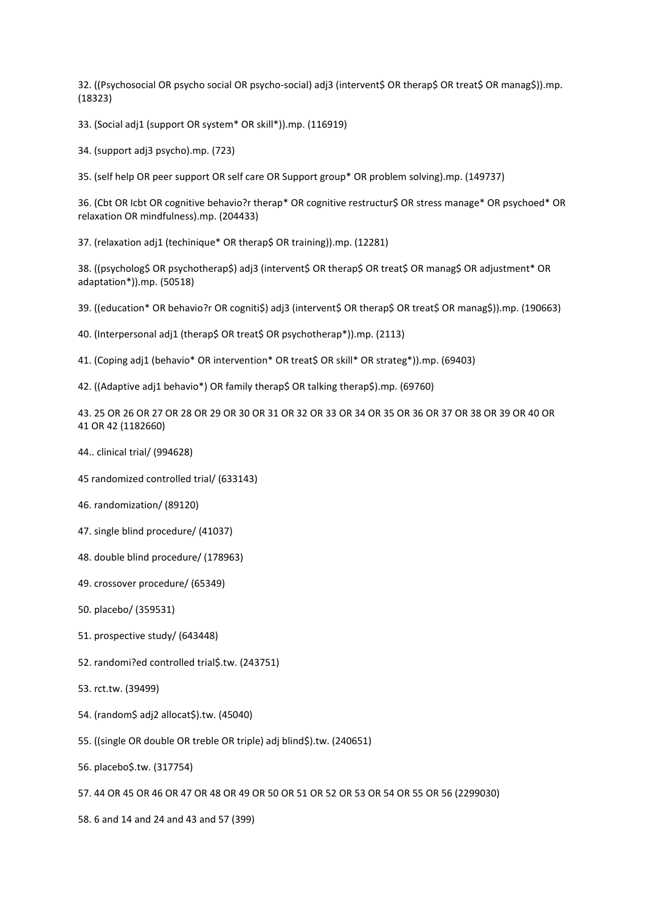32. ((Psychosocial OR psycho social OR psycho-social) adj3 (intervent\$ OR therap\$ OR treat\$ OR manag\$)).mp. (18323)

33. (Social adj1 (support OR system\* OR skill\*)).mp. (116919)

34. (support adj3 psycho).mp. (723)

35. (self help OR peer support OR self care OR Support group\* OR problem solving).mp. (149737)

36. (Cbt OR Icbt OR cognitive behavio?r therap\* OR cognitive restructur\$ OR stress manage\* OR psychoed\* OR relaxation OR mindfulness).mp. (204433)

37. (relaxation adj1 (techinique\* OR therap\$ OR training)).mp. (12281)

38. ((psycholog\$ OR psychotherap\$) adj3 (intervent\$ OR therap\$ OR treat\$ OR manag\$ OR adjustment\* OR adaptation\*)).mp. (50518)

39. ((education\* OR behavio?r OR cogniti\$) adj3 (intervent\$ OR therap\$ OR treat\$ OR manag\$)).mp. (190663)

40. (Interpersonal adj1 (therap\$ OR treat\$ OR psychotherap\*)).mp. (2113)

41. (Coping adj1 (behavio\* OR intervention\* OR treat\$ OR skill\* OR strateg\*)).mp. (69403)

42. ((Adaptive adj1 behavio\*) OR family therap\$ OR talking therap\$).mp. (69760)

43. 25 OR 26 OR 27 OR 28 OR 29 OR 30 OR 31 OR 32 OR 33 OR 34 OR 35 OR 36 OR 37 OR 38 OR 39 OR 40 OR 41 OR 42 (1182660)

- 44.. clinical trial/ (994628)
- 45 randomized controlled trial/ (633143)
- 46. randomization/ (89120)
- 47. single blind procedure/ (41037)
- 48. double blind procedure/ (178963)
- 49. crossover procedure/ (65349)
- 50. placebo/ (359531)
- 51. prospective study/ (643448)
- 52. randomi?ed controlled trial\$.tw. (243751)
- 53. rct.tw. (39499)
- 54. (random\$ adj2 allocat\$).tw. (45040)
- 55. ((single OR double OR treble OR triple) adj blind\$).tw. (240651)
- 56. placebo\$.tw. (317754)
- 57. 44 OR 45 OR 46 OR 47 OR 48 OR 49 OR 50 OR 51 OR 52 OR 53 OR 54 OR 55 OR 56 (2299030)
- 58. 6 and 14 and 24 and 43 and 57 (399)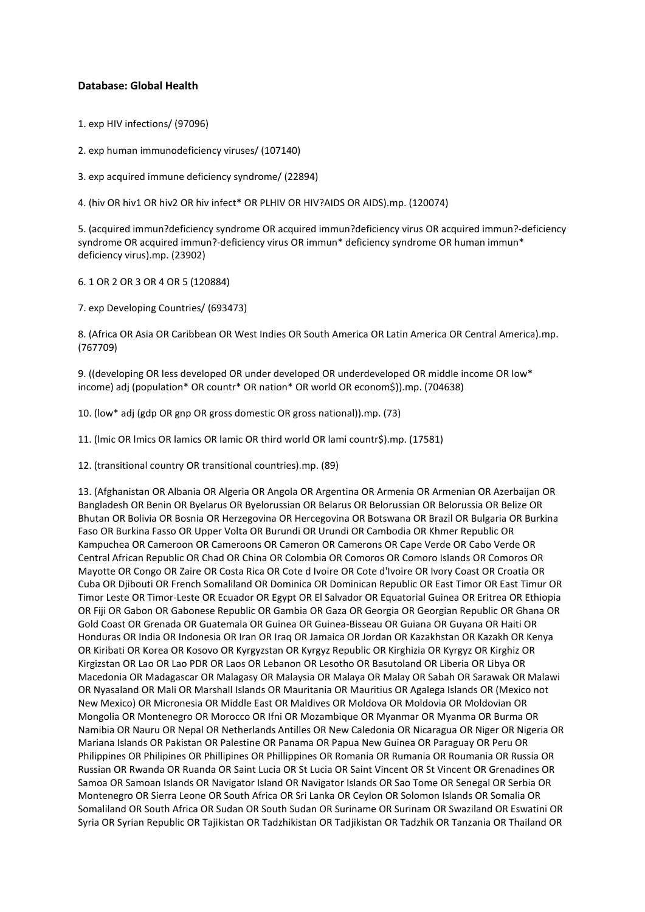### **Database: Global Health**

1. exp HIV infections/ (97096)

2. exp human immunodeficiency viruses/ (107140)

3. exp acquired immune deficiency syndrome/ (22894)

4. (hiv OR hiv1 OR hiv2 OR hiv infect\* OR PLHIV OR HIV?AIDS OR AIDS).mp. (120074)

5. (acquired immun?deficiency syndrome OR acquired immun?deficiency virus OR acquired immun?-deficiency syndrome OR acquired immun?-deficiency virus OR immun\* deficiency syndrome OR human immun\* deficiency virus).mp. (23902)

6. 1 OR 2 OR 3 OR 4 OR 5 (120884)

7. exp Developing Countries/ (693473)

8. (Africa OR Asia OR Caribbean OR West Indies OR South America OR Latin America OR Central America).mp. (767709)

9. ((developing OR less developed OR under developed OR underdeveloped OR middle income OR low\* income) adj (population\* OR countr\* OR nation\* OR world OR econom\$)).mp. (704638)

10. (low\* adj (gdp OR gnp OR gross domestic OR gross national)).mp. (73)

11. (lmic OR lmics OR lamics OR lamic OR third world OR lami countr\$).mp. (17581)

12. (transitional country OR transitional countries).mp. (89)

13. (Afghanistan OR Albania OR Algeria OR Angola OR Argentina OR Armenia OR Armenian OR Azerbaijan OR Bangladesh OR Benin OR Byelarus OR Byelorussian OR Belarus OR Belorussian OR Belorussia OR Belize OR Bhutan OR Bolivia OR Bosnia OR Herzegovina OR Hercegovina OR Botswana OR Brazil OR Bulgaria OR Burkina Faso OR Burkina Fasso OR Upper Volta OR Burundi OR Urundi OR Cambodia OR Khmer Republic OR Kampuchea OR Cameroon OR Cameroons OR Cameron OR Camerons OR Cape Verde OR Cabo Verde OR Central African Republic OR Chad OR China OR Colombia OR Comoros OR Comoro Islands OR Comoros OR Mayotte OR Congo OR Zaire OR Costa Rica OR Cote d Ivoire OR Cote d'Ivoire OR Ivory Coast OR Croatia OR Cuba OR Djibouti OR French Somaliland OR Dominica OR Dominican Republic OR East Timor OR East Timur OR Timor Leste OR Timor-Leste OR Ecuador OR Egypt OR El Salvador OR Equatorial Guinea OR Eritrea OR Ethiopia OR Fiji OR Gabon OR Gabonese Republic OR Gambia OR Gaza OR Georgia OR Georgian Republic OR Ghana OR Gold Coast OR Grenada OR Guatemala OR Guinea OR Guinea-Bisseau OR Guiana OR Guyana OR Haiti OR Honduras OR India OR Indonesia OR Iran OR Iraq OR Jamaica OR Jordan OR Kazakhstan OR Kazakh OR Kenya OR Kiribati OR Korea OR Kosovo OR Kyrgyzstan OR Kyrgyz Republic OR Kirghizia OR Kyrgyz OR Kirghiz OR Kirgizstan OR Lao OR Lao PDR OR Laos OR Lebanon OR Lesotho OR Basutoland OR Liberia OR Libya OR Macedonia OR Madagascar OR Malagasy OR Malaysia OR Malaya OR Malay OR Sabah OR Sarawak OR Malawi OR Nyasaland OR Mali OR Marshall Islands OR Mauritania OR Mauritius OR Agalega Islands OR (Mexico not New Mexico) OR Micronesia OR Middle East OR Maldives OR Moldova OR Moldovia OR Moldovian OR Mongolia OR Montenegro OR Morocco OR Ifni OR Mozambique OR Myanmar OR Myanma OR Burma OR Namibia OR Nauru OR Nepal OR Netherlands Antilles OR New Caledonia OR Nicaragua OR Niger OR Nigeria OR Mariana Islands OR Pakistan OR Palestine OR Panama OR Papua New Guinea OR Paraguay OR Peru OR Philippines OR Philipines OR Phillipines OR Phillippines OR Romania OR Rumania OR Roumania OR Russia OR Russian OR Rwanda OR Ruanda OR Saint Lucia OR St Lucia OR Saint Vincent OR St Vincent OR Grenadines OR Samoa OR Samoan Islands OR Navigator Island OR Navigator Islands OR Sao Tome OR Senegal OR Serbia OR Montenegro OR Sierra Leone OR South Africa OR Sri Lanka OR Ceylon OR Solomon Islands OR Somalia OR Somaliland OR South Africa OR Sudan OR South Sudan OR Suriname OR Surinam OR Swaziland OR Eswatini OR Syria OR Syrian Republic OR Tajikistan OR Tadzhikistan OR Tadjikistan OR Tadzhik OR Tanzania OR Thailand OR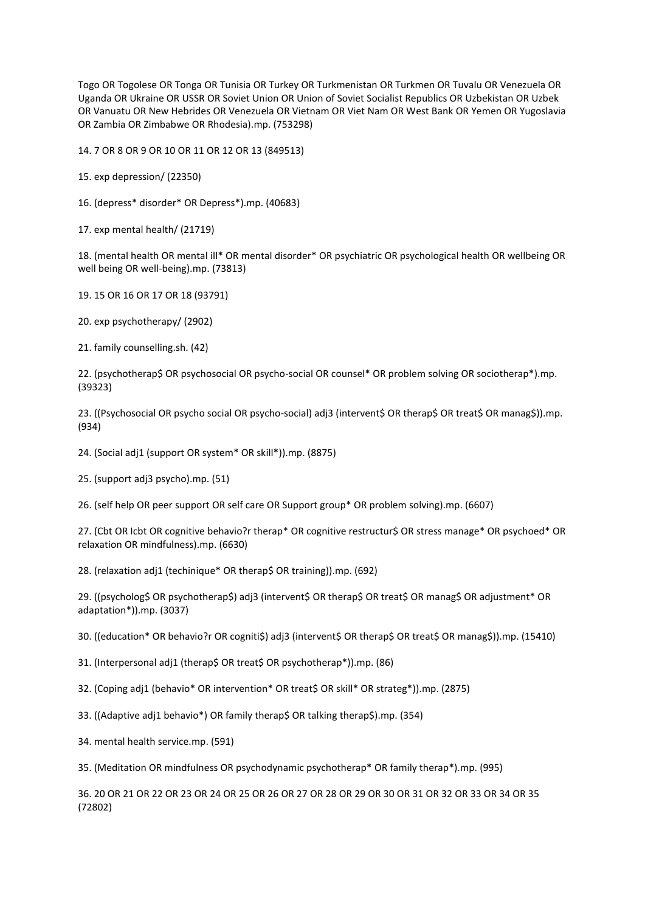Togo OR Togolese OR Tonga OR Tunisia OR Turkey OR Turkmenistan OR Turkmen OR Tuvalu OR Venezuela OR Uganda OR Ukraine OR USSR OR Soviet Union OR Union of Soviet Socialist Republics OR Uzbekistan OR Uzbek OR Vanuatu OR New Hebrides OR Venezuela OR Vietnam OR Viet Nam OR West Bank OR Yemen OR Yugoslavia OR Zambia OR Zimbabwe OR Rhodesia).mp. (753298)

14. 7 OR 8 OR 9 OR 10 OR 11 OR 12 OR 13 (849513)

15. exp depression/ (22350)

16. (depress\* disorder\* OR Depress\*).mp. (40683)

17. exp mental health/ (21719)

18. (mental health OR mental ill\* OR mental disorder\* OR psychiatric OR psychological health OR wellbeing OR well being OR well-being).mp. (73813)

19. 15 OR 16 OR 17 OR 18 (93791)

20. exp psychotherapy/ (2902)

21. family counselling.sh. (42)

22. (psychotherap\$ OR psychosocial OR psycho-social OR counsel\* OR problem solving OR sociotherap\*).mp. (39323)

23. ((Psychosocial OR psycho social OR psycho-social) adj3 (intervent\$ OR therap\$ OR treat\$ OR manag\$)).mp. (934)

24. (Social adj1 (support OR system\* OR skill\*)).mp. (8875)

25. (support adj3 psycho).mp. (51)

26. (self help OR peer support OR self care OR Support group\* OR problem solving).mp. (6607)

27. (Cbt OR Icbt OR cognitive behavio?r therap\* OR cognitive restructur\$ OR stress manage\* OR psychoed\* OR relaxation OR mindfulness).mp. (6630)

28. (relaxation adj1 (techinique\* OR therap\$ OR training)).mp. (692)

29. ((psycholog\$ OR psychotherap\$) adj3 (intervent\$ OR therap\$ OR treat\$ OR manag\$ OR adjustment\* OR adaptation\*)).mp. (3037)

30. ((education\* OR behavio?r OR cogniti\$) adj3 (intervent\$ OR therap\$ OR treat\$ OR manag\$)).mp. (15410)

31. (Interpersonal adj1 (therap\$ OR treat\$ OR psychotherap\*)).mp. (86)

32. (Coping adj1 (behavio\* OR intervention\* OR treat\$ OR skill\* OR strateg\*)).mp. (2875)

33. ((Adaptive adj1 behavio\*) OR family therap\$ OR talking therap\$).mp. (354)

34. mental health service.mp. (591)

35. (Meditation OR mindfulness OR psychodynamic psychotherap\* OR family therap\*).mp. (995)

36. 20 OR 21 OR 22 OR 23 OR 24 OR 25 OR 26 OR 27 OR 28 OR 29 OR 30 OR 31 OR 32 OR 33 OR 34 OR 35 (72802)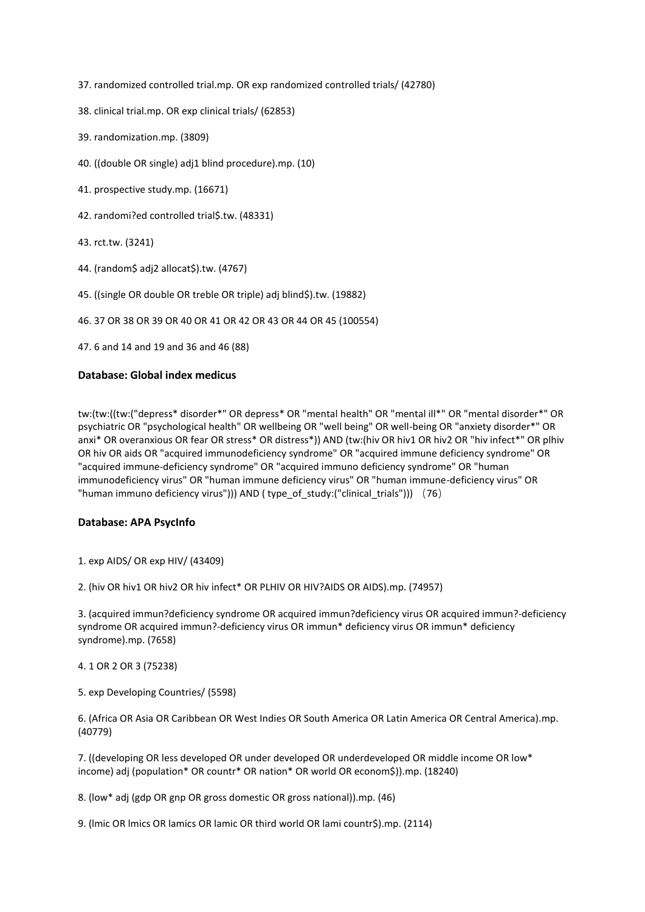37. randomized controlled trial.mp. OR exp randomized controlled trials/ (42780)

- 38. clinical trial.mp. OR exp clinical trials/ (62853)
- 39. randomization.mp. (3809)
- 40. ((double OR single) adj1 blind procedure).mp. (10)
- 41. prospective study.mp. (16671)
- 42. randomi?ed controlled trial\$.tw. (48331)
- 43. rct.tw. (3241)
- 44. (random\$ adj2 allocat\$).tw. (4767)
- 45. ((single OR double OR treble OR triple) adj blind\$).tw. (19882)
- 46. 37 OR 38 OR 39 OR 40 OR 41 OR 42 OR 43 OR 44 OR 45 (100554)
- 47. 6 and 14 and 19 and 36 and 46 (88)

### **Database: Global index medicus**

tw:(tw:((tw:("depress\* disorder\*" OR depress\* OR "mental health" OR "mental ill\*" OR "mental disorder\*" OR psychiatric OR "psychological health" OR wellbeing OR "well being" OR well-being OR "anxiety disorder\*" OR anxi\* OR overanxious OR fear OR stress\* OR distress\*)) AND (tw:(hiv OR hiv1 OR hiv2 OR "hiv infect\*" OR plhiv OR hiv OR aids OR "acquired immunodeficiency syndrome" OR "acquired immune deficiency syndrome" OR "acquired immune-deficiency syndrome" OR "acquired immuno deficiency syndrome" OR "human immunodeficiency virus" OR "human immune deficiency virus" OR "human immune-deficiency virus" OR "human immuno deficiency virus"))) AND ( type\_of\_study:("clinical\_trials"))) (76)

### **Database: APA PsycInfo**

- 1. exp AIDS/ OR exp HIV/ (43409)
- 2. (hiv OR hiv1 OR hiv2 OR hiv infect\* OR PLHIV OR HIV?AIDS OR AIDS).mp. (74957)

3. (acquired immun?deficiency syndrome OR acquired immun?deficiency virus OR acquired immun?-deficiency syndrome OR acquired immun?-deficiency virus OR immun\* deficiency virus OR immun\* deficiency syndrome).mp. (7658)

- 4. 1 OR 2 OR 3 (75238)
- 5. exp Developing Countries/ (5598)

6. (Africa OR Asia OR Caribbean OR West Indies OR South America OR Latin America OR Central America).mp. (40779)

7. ((developing OR less developed OR under developed OR underdeveloped OR middle income OR low\* income) adj (population\* OR countr\* OR nation\* OR world OR econom\$)).mp. (18240)

8. (low\* adj (gdp OR gnp OR gross domestic OR gross national)).mp. (46)

9. (lmic OR lmics OR lamics OR lamic OR third world OR lami countr\$).mp. (2114)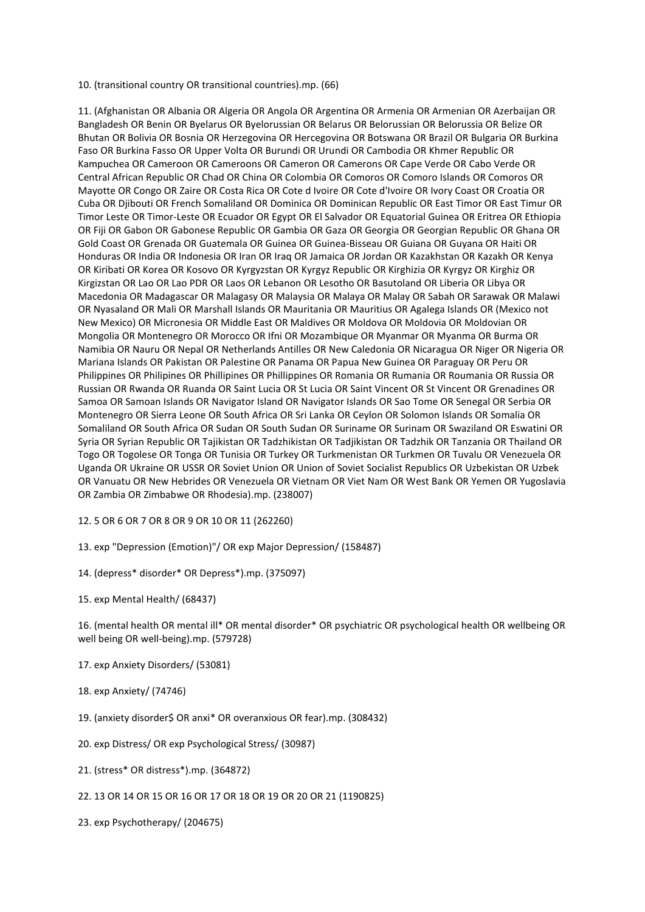10. (transitional country OR transitional countries).mp. (66)

11. (Afghanistan OR Albania OR Algeria OR Angola OR Argentina OR Armenia OR Armenian OR Azerbaijan OR Bangladesh OR Benin OR Byelarus OR Byelorussian OR Belarus OR Belorussian OR Belorussia OR Belize OR Bhutan OR Bolivia OR Bosnia OR Herzegovina OR Hercegovina OR Botswana OR Brazil OR Bulgaria OR Burkina Faso OR Burkina Fasso OR Upper Volta OR Burundi OR Urundi OR Cambodia OR Khmer Republic OR Kampuchea OR Cameroon OR Cameroons OR Cameron OR Camerons OR Cape Verde OR Cabo Verde OR Central African Republic OR Chad OR China OR Colombia OR Comoros OR Comoro Islands OR Comoros OR Mayotte OR Congo OR Zaire OR Costa Rica OR Cote d Ivoire OR Cote d'Ivoire OR Ivory Coast OR Croatia OR Cuba OR Djibouti OR French Somaliland OR Dominica OR Dominican Republic OR East Timor OR East Timur OR Timor Leste OR Timor-Leste OR Ecuador OR Egypt OR El Salvador OR Equatorial Guinea OR Eritrea OR Ethiopia OR Fiji OR Gabon OR Gabonese Republic OR Gambia OR Gaza OR Georgia OR Georgian Republic OR Ghana OR Gold Coast OR Grenada OR Guatemala OR Guinea OR Guinea-Bisseau OR Guiana OR Guyana OR Haiti OR Honduras OR India OR Indonesia OR Iran OR Iraq OR Jamaica OR Jordan OR Kazakhstan OR Kazakh OR Kenya OR Kiribati OR Korea OR Kosovo OR Kyrgyzstan OR Kyrgyz Republic OR Kirghizia OR Kyrgyz OR Kirghiz OR Kirgizstan OR Lao OR Lao PDR OR Laos OR Lebanon OR Lesotho OR Basutoland OR Liberia OR Libya OR Macedonia OR Madagascar OR Malagasy OR Malaysia OR Malaya OR Malay OR Sabah OR Sarawak OR Malawi OR Nyasaland OR Mali OR Marshall Islands OR Mauritania OR Mauritius OR Agalega Islands OR (Mexico not New Mexico) OR Micronesia OR Middle East OR Maldives OR Moldova OR Moldovia OR Moldovian OR Mongolia OR Montenegro OR Morocco OR Ifni OR Mozambique OR Myanmar OR Myanma OR Burma OR Namibia OR Nauru OR Nepal OR Netherlands Antilles OR New Caledonia OR Nicaragua OR Niger OR Nigeria OR Mariana Islands OR Pakistan OR Palestine OR Panama OR Papua New Guinea OR Paraguay OR Peru OR Philippines OR Philipines OR Phillipines OR Phillippines OR Romania OR Rumania OR Roumania OR Russia OR Russian OR Rwanda OR Ruanda OR Saint Lucia OR St Lucia OR Saint Vincent OR St Vincent OR Grenadines OR Samoa OR Samoan Islands OR Navigator Island OR Navigator Islands OR Sao Tome OR Senegal OR Serbia OR Montenegro OR Sierra Leone OR South Africa OR Sri Lanka OR Ceylon OR Solomon Islands OR Somalia OR Somaliland OR South Africa OR Sudan OR South Sudan OR Suriname OR Surinam OR Swaziland OR Eswatini OR Syria OR Syrian Republic OR Tajikistan OR Tadzhikistan OR Tadjikistan OR Tadzhik OR Tanzania OR Thailand OR Togo OR Togolese OR Tonga OR Tunisia OR Turkey OR Turkmenistan OR Turkmen OR Tuvalu OR Venezuela OR Uganda OR Ukraine OR USSR OR Soviet Union OR Union of Soviet Socialist Republics OR Uzbekistan OR Uzbek OR Vanuatu OR New Hebrides OR Venezuela OR Vietnam OR Viet Nam OR West Bank OR Yemen OR Yugoslavia OR Zambia OR Zimbabwe OR Rhodesia).mp. (238007)

12. 5 OR 6 OR 7 OR 8 OR 9 OR 10 OR 11 (262260)

13. exp "Depression (Emotion)"/ OR exp Major Depression/ (158487)

14. (depress\* disorder\* OR Depress\*).mp. (375097)

15. exp Mental Health/ (68437)

16. (mental health OR mental ill\* OR mental disorder\* OR psychiatric OR psychological health OR wellbeing OR well being OR well-being).mp. (579728)

- 17. exp Anxiety Disorders/ (53081)
- 18. exp Anxiety/ (74746)
- 19. (anxiety disorder\$ OR anxi\* OR overanxious OR fear).mp. (308432)
- 20. exp Distress/ OR exp Psychological Stress/ (30987)
- 21. (stress\* OR distress\*).mp. (364872)
- 22. 13 OR 14 OR 15 OR 16 OR 17 OR 18 OR 19 OR 20 OR 21 (1190825)
- 23. exp Psychotherapy/ (204675)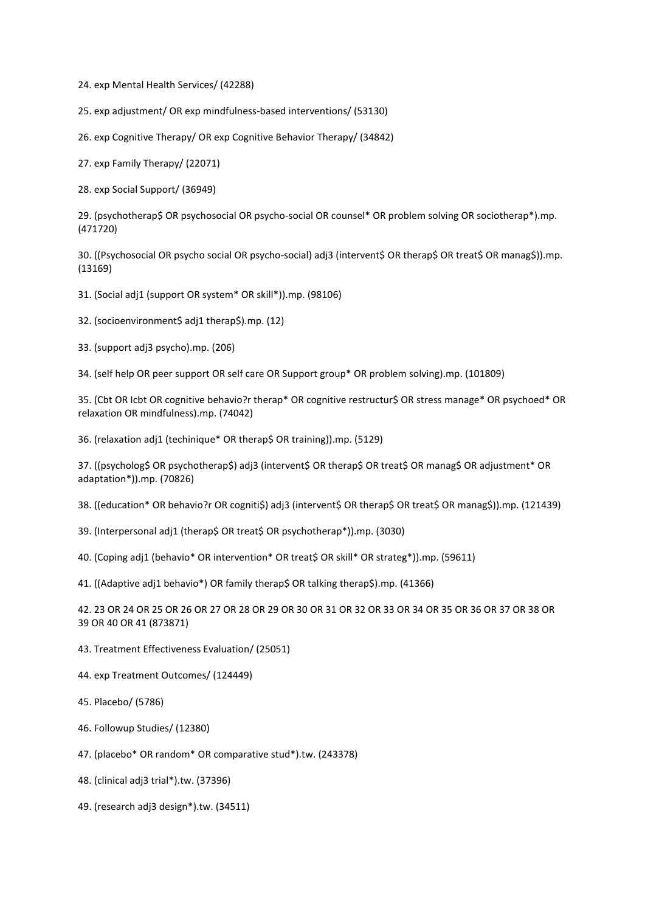24. exp Mental Health Services/ (42288)

25. exp adjustment/ OR exp mindfulness-based interventions/ (53130)

26. exp Cognitive Therapy/ OR exp Cognitive Behavior Therapy/ (34842)

27. exp Family Therapy/ (22071)

28. exp Social Support/ (36949)

29. (psychotherap\$ OR psychosocial OR psycho-social OR counsel\* OR problem solving OR sociotherap\*).mp. (471720)

30. ((Psychosocial OR psycho social OR psycho-social) adj3 (intervent\$ OR therap\$ OR treat\$ OR manag\$)).mp. (13169)

31. (Social adj1 (support OR system\* OR skill\*)).mp. (98106)

32. (socioenvironment\$ adj1 therap\$).mp. (12)

33. (support adj3 psycho).mp. (206)

34. (self help OR peer support OR self care OR Support group\* OR problem solving).mp. (101809)

35. (Cbt OR Icbt OR cognitive behavio?r therap\* OR cognitive restructur\$ OR stress manage\* OR psychoed\* OR relaxation OR mindfulness).mp. (74042)

36. (relaxation adj1 (techinique\* OR therap\$ OR training)).mp. (5129)

37. ((psycholog\$ OR psychotherap\$) adj3 (intervent\$ OR therap\$ OR treat\$ OR manag\$ OR adjustment\* OR adaptation\*)).mp. (70826)

38. ((education\* OR behavio?r OR cogniti\$) adj3 (intervent\$ OR therap\$ OR treat\$ OR manag\$)).mp. (121439)

39. (Interpersonal adj1 (therap\$ OR treat\$ OR psychotherap\*)).mp. (3030)

40. (Coping adj1 (behavio\* OR intervention\* OR treat\$ OR skill\* OR strateg\*)).mp. (59611)

41. ((Adaptive adj1 behavio\*) OR family therap\$ OR talking therap\$).mp. (41366)

42. 23 OR 24 OR 25 OR 26 OR 27 OR 28 OR 29 OR 30 OR 31 OR 32 OR 33 OR 34 OR 35 OR 36 OR 37 OR 38 OR 39 OR 40 OR 41 (873871)

43. Treatment Effectiveness Evaluation/ (25051)

44. exp Treatment Outcomes/ (124449)

45. Placebo/ (5786)

46. Followup Studies/ (12380)

47. (placebo\* OR random\* OR comparative stud\*).tw. (243378)

48. (clinical adj3 trial\*).tw. (37396)

49. (research adj3 design\*).tw. (34511)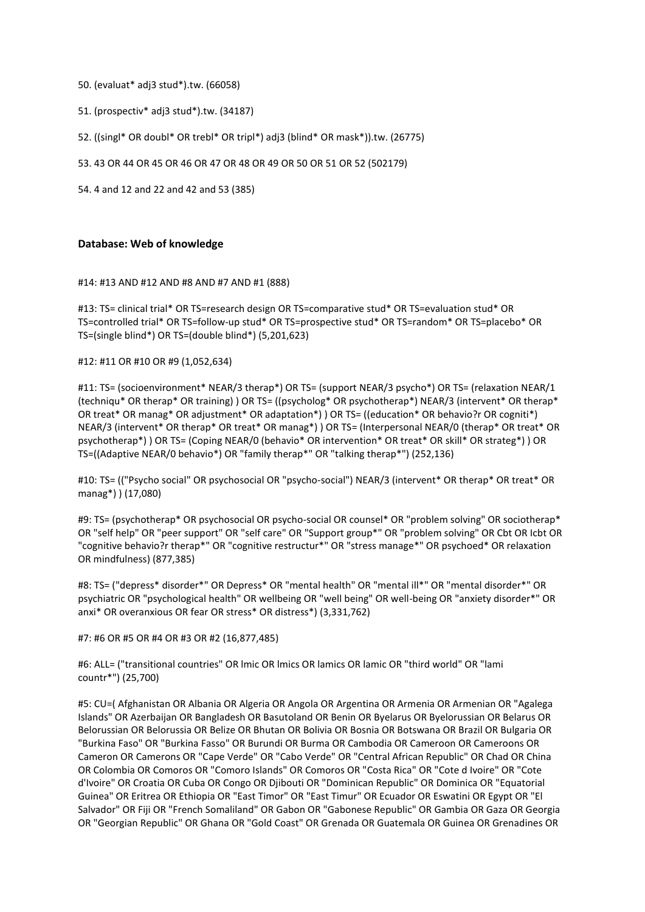- 50. (evaluat\* adj3 stud\*).tw. (66058)
- 51. (prospectiv\* adj3 stud\*).tw. (34187)
- 52. ((singl\* OR doubl\* OR trebl\* OR tripl\*) adj3 (blind\* OR mask\*)).tw. (26775)
- 53. 43 OR 44 OR 45 OR 46 OR 47 OR 48 OR 49 OR 50 OR 51 OR 52 (502179)
- 54. 4 and 12 and 22 and 42 and 53 (385)

#### **Database: Web of knowledge**

#### #14: #13 AND #12 AND #8 AND #7 AND #1 (888)

#13: TS= clinical trial\* OR TS=research design OR TS=comparative stud\* OR TS=evaluation stud\* OR TS=controlled trial\* OR TS=follow-up stud\* OR TS=prospective stud\* OR TS=random\* OR TS=placebo\* OR TS=(single blind\*) OR TS=(double blind\*) (5,201,623)

### #12: #11 OR #10 OR #9 (1,052,634)

#11: TS= (socioenvironment\* NEAR/3 therap\*) OR TS= (support NEAR/3 psycho\*) OR TS= (relaxation NEAR/1 (techniqu\* OR therap\* OR training) ) OR TS= ((psycholog\* OR psychotherap\*) NEAR/3 (intervent\* OR therap\* OR treat\* OR manag\* OR adjustment\* OR adaptation\*) ) OR TS= ((education\* OR behavio?r OR cogniti\*) NEAR/3 (intervent\* OR therap\* OR treat\* OR manag\*) ) OR TS= (Interpersonal NEAR/0 (therap\* OR treat\* OR psychotherap\*) ) OR TS= (Coping NEAR/0 (behavio\* OR intervention\* OR treat\* OR skill\* OR strateg\*) ) OR TS=((Adaptive NEAR/0 behavio\*) OR "family therap\*" OR "talking therap\*") (252,136)

#10: TS= (("Psycho social" OR psychosocial OR "psycho-social") NEAR/3 (intervent\* OR therap\* OR treat\* OR manag\*) ) (17,080)

#9: TS= (psychotherap\* OR psychosocial OR psycho-social OR counsel\* OR "problem solving" OR sociotherap\* OR "self help" OR "peer support" OR "self care" OR "Support group\*" OR "problem solving" OR Cbt OR Icbt OR "cognitive behavio?r therap\*" OR "cognitive restructur\*" OR "stress manage\*" OR psychoed\* OR relaxation OR mindfulness) (877,385)

#8: TS= ("depress\* disorder\*" OR Depress\* OR "mental health" OR "mental ill\*" OR "mental disorder\*" OR psychiatric OR "psychological health" OR wellbeing OR "well being" OR well-being OR "anxiety disorder\*" OR anxi\* OR overanxious OR fear OR stress\* OR distress\*) (3,331,762)

#7: #6 OR #5 OR #4 OR #3 OR #2 (16,877,485)

#6: ALL= ("transitional countries" OR lmic OR lmics OR lamics OR lamic OR "third world" OR "lami countr\*") (25,700)

#5: CU=( Afghanistan OR Albania OR Algeria OR Angola OR Argentina OR Armenia OR Armenian OR "Agalega Islands" OR Azerbaijan OR Bangladesh OR Basutoland OR Benin OR Byelarus OR Byelorussian OR Belarus OR Belorussian OR Belorussia OR Belize OR Bhutan OR Bolivia OR Bosnia OR Botswana OR Brazil OR Bulgaria OR "Burkina Faso" OR "Burkina Fasso" OR Burundi OR Burma OR Cambodia OR Cameroon OR Cameroons OR Cameron OR Camerons OR "Cape Verde" OR "Cabo Verde" OR "Central African Republic" OR Chad OR China OR Colombia OR Comoros OR "Comoro Islands" OR Comoros OR "Costa Rica" OR "Cote d Ivoire" OR "Cote d'Ivoire" OR Croatia OR Cuba OR Congo OR Djibouti OR "Dominican Republic" OR Dominica OR "Equatorial Guinea" OR Eritrea OR Ethiopia OR "East Timor" OR "East Timur" OR Ecuador OR Eswatini OR Egypt OR "El Salvador" OR Fiji OR "French Somaliland" OR Gabon OR "Gabonese Republic" OR Gambia OR Gaza OR Georgia OR "Georgian Republic" OR Ghana OR "Gold Coast" OR Grenada OR Guatemala OR Guinea OR Grenadines OR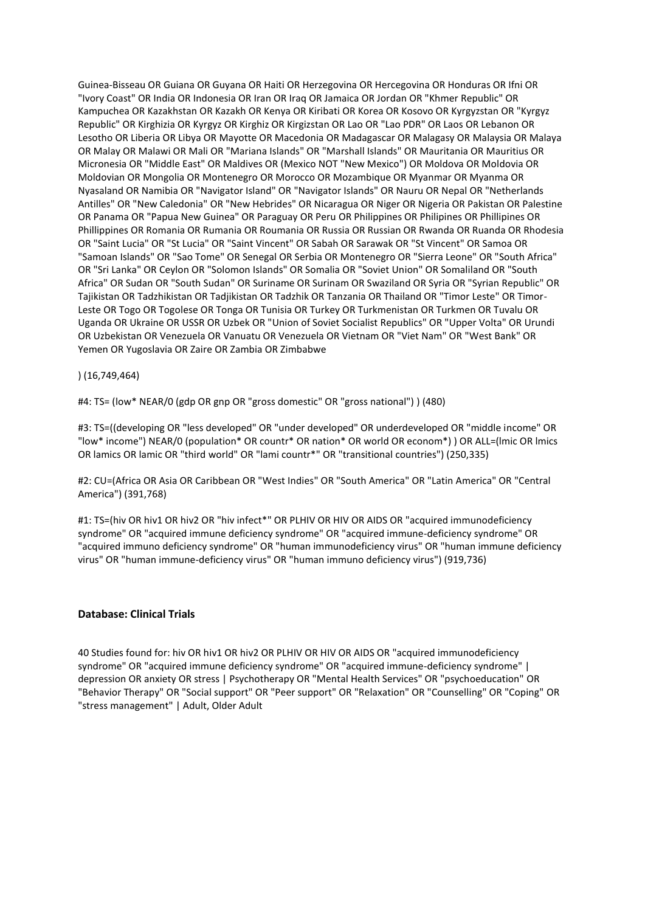Guinea-Bisseau OR Guiana OR Guyana OR Haiti OR Herzegovina OR Hercegovina OR Honduras OR Ifni OR "Ivory Coast" OR India OR Indonesia OR Iran OR Iraq OR Jamaica OR Jordan OR "Khmer Republic" OR Kampuchea OR Kazakhstan OR Kazakh OR Kenya OR Kiribati OR Korea OR Kosovo OR Kyrgyzstan OR "Kyrgyz Republic" OR Kirghizia OR Kyrgyz OR Kirghiz OR Kirgizstan OR Lao OR "Lao PDR" OR Laos OR Lebanon OR Lesotho OR Liberia OR Libya OR Mayotte OR Macedonia OR Madagascar OR Malagasy OR Malaysia OR Malaya OR Malay OR Malawi OR Mali OR "Mariana Islands" OR "Marshall Islands" OR Mauritania OR Mauritius OR Micronesia OR "Middle East" OR Maldives OR (Mexico NOT "New Mexico") OR Moldova OR Moldovia OR Moldovian OR Mongolia OR Montenegro OR Morocco OR Mozambique OR Myanmar OR Myanma OR Nyasaland OR Namibia OR "Navigator Island" OR "Navigator Islands" OR Nauru OR Nepal OR "Netherlands Antilles" OR "New Caledonia" OR "New Hebrides" OR Nicaragua OR Niger OR Nigeria OR Pakistan OR Palestine OR Panama OR "Papua New Guinea" OR Paraguay OR Peru OR Philippines OR Philipines OR Phillipines OR Phillippines OR Romania OR Rumania OR Roumania OR Russia OR Russian OR Rwanda OR Ruanda OR Rhodesia OR "Saint Lucia" OR "St Lucia" OR "Saint Vincent" OR Sabah OR Sarawak OR "St Vincent" OR Samoa OR "Samoan Islands" OR "Sao Tome" OR Senegal OR Serbia OR Montenegro OR "Sierra Leone" OR "South Africa" OR "Sri Lanka" OR Ceylon OR "Solomon Islands" OR Somalia OR "Soviet Union" OR Somaliland OR "South Africa" OR Sudan OR "South Sudan" OR Suriname OR Surinam OR Swaziland OR Syria OR "Syrian Republic" OR Tajikistan OR Tadzhikistan OR Tadjikistan OR Tadzhik OR Tanzania OR Thailand OR "Timor Leste" OR Timor-Leste OR Togo OR Togolese OR Tonga OR Tunisia OR Turkey OR Turkmenistan OR Turkmen OR Tuvalu OR Uganda OR Ukraine OR USSR OR Uzbek OR "Union of Soviet Socialist Republics" OR "Upper Volta" OR Urundi OR Uzbekistan OR Venezuela OR Vanuatu OR Venezuela OR Vietnam OR "Viet Nam" OR "West Bank" OR Yemen OR Yugoslavia OR Zaire OR Zambia OR Zimbabwe

) (16,749,464)

#4: TS= (low\* NEAR/0 (gdp OR gnp OR "gross domestic" OR "gross national") ) (480)

#3: TS=((developing OR "less developed" OR "under developed" OR underdeveloped OR "middle income" OR "low\* income") NEAR/0 (population\* OR countr\* OR nation\* OR world OR econom\*) ) OR ALL=(lmic OR lmics OR lamics OR lamic OR "third world" OR "lami countr\*" OR "transitional countries") (250,335)

#2: CU=(Africa OR Asia OR Caribbean OR "West Indies" OR "South America" OR "Latin America" OR "Central America") (391,768)

#1: TS=(hiv OR hiv1 OR hiv2 OR "hiv infect\*" OR PLHIV OR HIV OR AIDS OR "acquired immunodeficiency syndrome" OR "acquired immune deficiency syndrome" OR "acquired immune-deficiency syndrome" OR "acquired immuno deficiency syndrome" OR "human immunodeficiency virus" OR "human immune deficiency virus" OR "human immune-deficiency virus" OR "human immuno deficiency virus") (919,736)

### **Database: Clinical Trials**

40 Studies found for: hiv OR hiv1 OR hiv2 OR PLHIV OR HIV OR AIDS OR "acquired immunodeficiency syndrome" OR "acquired immune deficiency syndrome" OR "acquired immune-deficiency syndrome" | depression OR anxiety OR stress | Psychotherapy OR "Mental Health Services" OR "psychoeducation" OR "Behavior Therapy" OR "Social support" OR "Peer support" OR "Relaxation" OR "Counselling" OR "Coping" OR "stress management" | Adult, Older Adult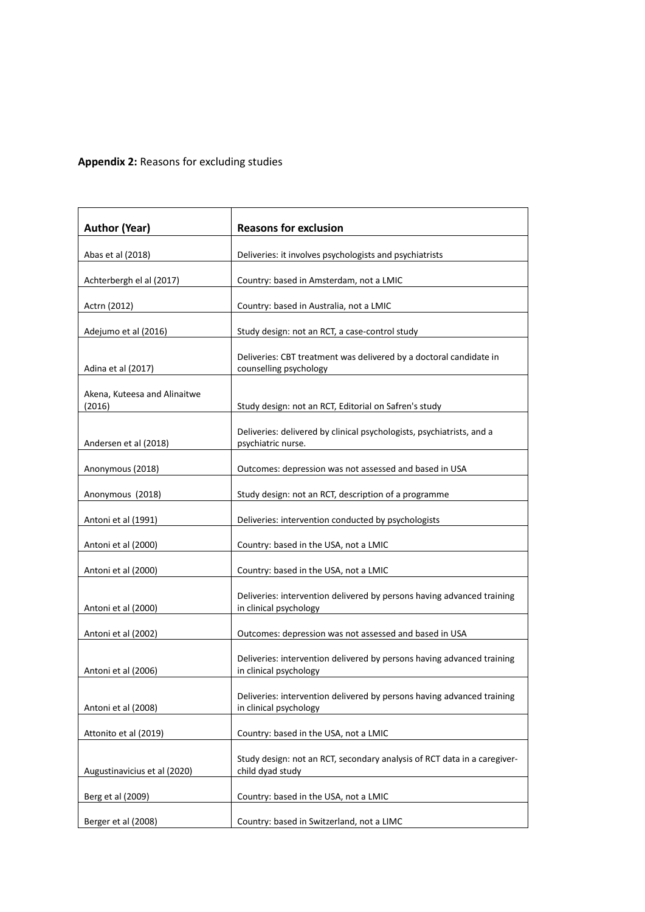### **Appendix 2:** Reasons for excluding studies

| <b>Author (Year)</b>                   | <b>Reasons for exclusion</b>                                                                     |  |  |
|----------------------------------------|--------------------------------------------------------------------------------------------------|--|--|
| Abas et al (2018)                      | Deliveries: it involves psychologists and psychiatrists                                          |  |  |
| Achterbergh el al (2017)               | Country: based in Amsterdam, not a LMIC                                                          |  |  |
| Actrn (2012)                           | Country: based in Australia, not a LMIC                                                          |  |  |
| Adejumo et al (2016)                   | Study design: not an RCT, a case-control study                                                   |  |  |
| Adina et al (2017)                     | Deliveries: CBT treatment was delivered by a doctoral candidate in<br>counselling psychology     |  |  |
| Akena, Kuteesa and Alinaitwe<br>(2016) | Study design: not an RCT, Editorial on Safren's study                                            |  |  |
| Andersen et al (2018)                  | Deliveries: delivered by clinical psychologists, psychiatrists, and a<br>psychiatric nurse.      |  |  |
| Anonymous (2018)                       | Outcomes: depression was not assessed and based in USA                                           |  |  |
| Anonymous (2018)                       | Study design: not an RCT, description of a programme                                             |  |  |
| Antoni et al (1991)                    | Deliveries: intervention conducted by psychologists                                              |  |  |
| Antoni et al (2000)                    | Country: based in the USA, not a LMIC                                                            |  |  |
| Antoni et al (2000)                    | Country: based in the USA, not a LMIC                                                            |  |  |
| Antoni et al (2000)                    | Deliveries: intervention delivered by persons having advanced training<br>in clinical psychology |  |  |
| Antoni et al (2002)                    | Outcomes: depression was not assessed and based in USA                                           |  |  |
| Antoni et al (2006)                    | Deliveries: intervention delivered by persons having advanced training<br>in clinical psychology |  |  |
| Antoni et al (2008)                    | Deliveries: intervention delivered by persons having advanced training<br>in clinical psychology |  |  |
| Attonito et al (2019)                  | Country: based in the USA, not a LMIC                                                            |  |  |
| Augustinavicius et al (2020)           | Study design: not an RCT, secondary analysis of RCT data in a caregiver-<br>child dyad study     |  |  |
| Berg et al (2009)                      | Country: based in the USA, not a LMIC                                                            |  |  |
| Berger et al (2008)                    | Country: based in Switzerland, not a LIMC                                                        |  |  |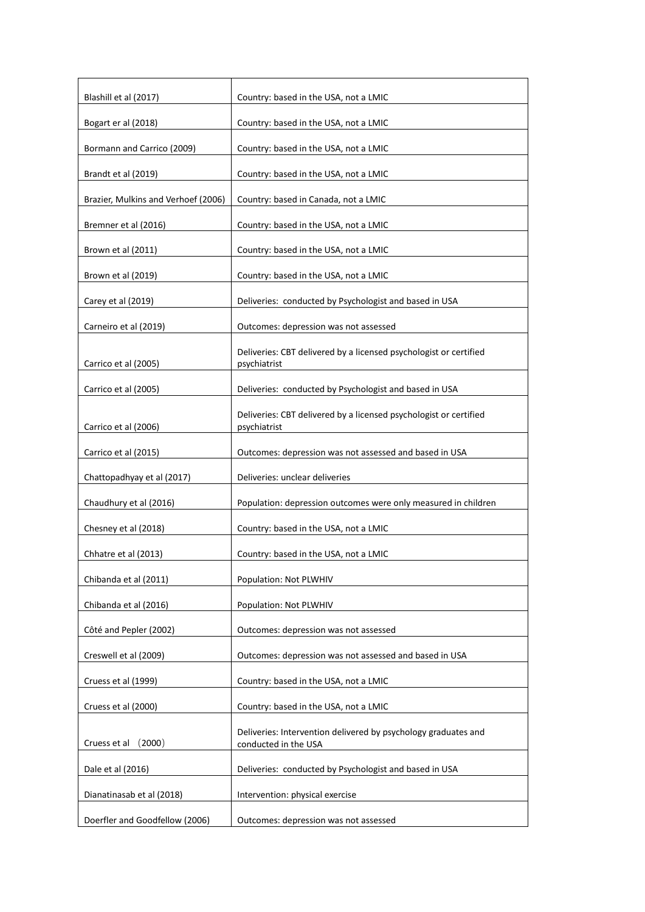| Blashill et al (2017)               | Country: based in the USA, not a LMIC                                                  |
|-------------------------------------|----------------------------------------------------------------------------------------|
| Bogart er al (2018)                 | Country: based in the USA, not a LMIC                                                  |
| Bormann and Carrico (2009)          | Country: based in the USA, not a LMIC                                                  |
| Brandt et al (2019)                 | Country: based in the USA, not a LMIC                                                  |
| Brazier, Mulkins and Verhoef (2006) | Country: based in Canada, not a LMIC                                                   |
| Bremner et al (2016)                | Country: based in the USA, not a LMIC                                                  |
| Brown et al (2011)                  | Country: based in the USA, not a LMIC                                                  |
| Brown et al (2019)                  | Country: based in the USA, not a LMIC                                                  |
| Carey et al (2019)                  | Deliveries: conducted by Psychologist and based in USA                                 |
| Carneiro et al (2019)               | Outcomes: depression was not assessed                                                  |
| Carrico et al (2005)                | Deliveries: CBT delivered by a licensed psychologist or certified<br>psychiatrist      |
| Carrico et al (2005)                | Deliveries: conducted by Psychologist and based in USA                                 |
| Carrico et al (2006)                | Deliveries: CBT delivered by a licensed psychologist or certified<br>psychiatrist      |
| Carrico et al (2015)                | Outcomes: depression was not assessed and based in USA                                 |
| Chattopadhyay et al (2017)          | Deliveries: unclear deliveries                                                         |
| Chaudhury et al (2016)              | Population: depression outcomes were only measured in children                         |
| Chesney et al (2018)                | Country: based in the USA, not a LMIC                                                  |
| Chhatre et al (2013)                | Country: based in the USA, not a LMIC                                                  |
| Chibanda et al (2011)               | Population: Not PLWHIV                                                                 |
| Chibanda et al (2016)               | Population: Not PLWHIV                                                                 |
| Côté and Pepler (2002)              | Outcomes: depression was not assessed                                                  |
| Creswell et al (2009)               | Outcomes: depression was not assessed and based in USA                                 |
| Cruess et al (1999)                 | Country: based in the USA, not a LMIC                                                  |
| Cruess et al (2000)                 | Country: based in the USA, not a LMIC                                                  |
| Cruess et al<br>(2000)              | Deliveries: Intervention delivered by psychology graduates and<br>conducted in the USA |
| Dale et al (2016)                   | Deliveries: conducted by Psychologist and based in USA                                 |
| Dianatinasab et al (2018)           | Intervention: physical exercise                                                        |
| Doerfler and Goodfellow (2006)      | Outcomes: depression was not assessed                                                  |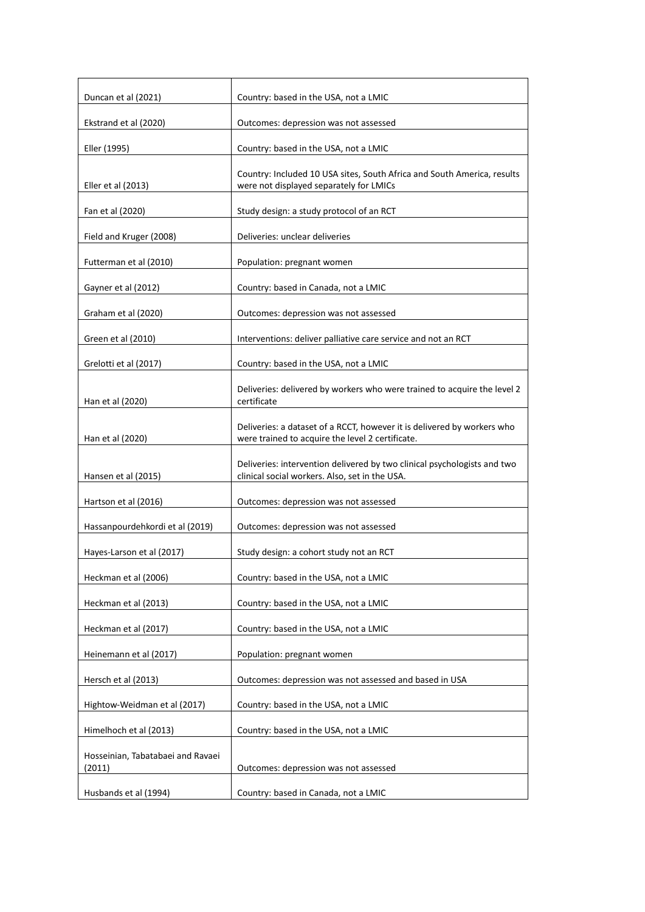| Duncan et al (2021)                         | Country: based in the USA, not a LMIC                                                                                       |
|---------------------------------------------|-----------------------------------------------------------------------------------------------------------------------------|
| Ekstrand et al (2020)                       |                                                                                                                             |
|                                             | Outcomes: depression was not assessed                                                                                       |
| Eller (1995)                                | Country: based in the USA, not a LMIC                                                                                       |
| Eller et al (2013)                          | Country: Included 10 USA sites, South Africa and South America, results<br>were not displayed separately for LMICs          |
| Fan et al (2020)                            | Study design: a study protocol of an RCT                                                                                    |
| Field and Kruger (2008)                     | Deliveries: unclear deliveries                                                                                              |
| Futterman et al (2010)                      | Population: pregnant women                                                                                                  |
| Gayner et al (2012)                         | Country: based in Canada, not a LMIC                                                                                        |
| Graham et al (2020)                         | Outcomes: depression was not assessed                                                                                       |
| Green et al (2010)                          | Interventions: deliver palliative care service and not an RCT                                                               |
| Grelotti et al (2017)                       | Country: based in the USA, not a LMIC                                                                                       |
| Han et al (2020)                            | Deliveries: delivered by workers who were trained to acquire the level 2<br>certificate                                     |
| Han et al (2020)                            | Deliveries: a dataset of a RCCT, however it is delivered by workers who<br>were trained to acquire the level 2 certificate. |
| Hansen et al (2015)                         | Deliveries: intervention delivered by two clinical psychologists and two<br>clinical social workers. Also, set in the USA.  |
| Hartson et al (2016)                        | Outcomes: depression was not assessed                                                                                       |
| Hassanpourdehkordi et al (2019)             | Outcomes: depression was not assessed                                                                                       |
| Hayes-Larson et al (2017)                   | Study design: a cohort study not an RCT                                                                                     |
| Heckman et al (2006)                        | Country: based in the USA, not a LMIC                                                                                       |
| Heckman et al (2013)                        | Country: based in the USA, not a LMIC                                                                                       |
| Heckman et al (2017)                        | Country: based in the USA, not a LMIC                                                                                       |
| Heinemann et al (2017)                      | Population: pregnant women                                                                                                  |
| Hersch et al (2013)                         | Outcomes: depression was not assessed and based in USA                                                                      |
| Hightow-Weidman et al (2017)                | Country: based in the USA, not a LMIC                                                                                       |
| Himelhoch et al (2013)                      | Country: based in the USA, not a LMIC                                                                                       |
| Hosseinian, Tabatabaei and Ravaei<br>(2011) | Outcomes: depression was not assessed                                                                                       |
| Husbands et al (1994)                       | Country: based in Canada, not a LMIC                                                                                        |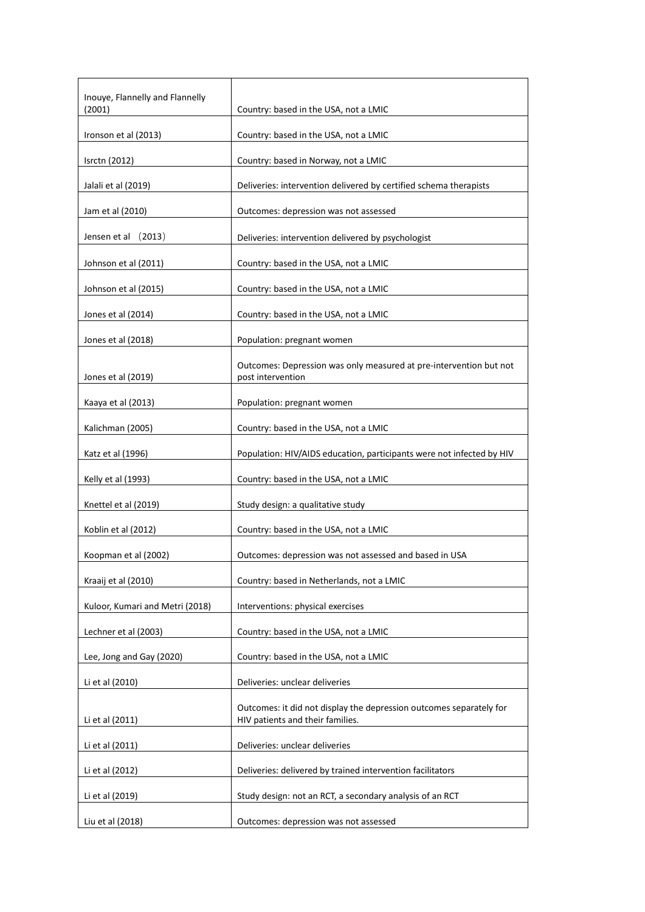| Country: based in the USA, not a LMIC                                                                   |
|---------------------------------------------------------------------------------------------------------|
| Country: based in the USA, not a LMIC                                                                   |
| Country: based in Norway, not a LMIC                                                                    |
| Deliveries: intervention delivered by certified schema therapists                                       |
| Outcomes: depression was not assessed                                                                   |
| Deliveries: intervention delivered by psychologist                                                      |
| Country: based in the USA, not a LMIC                                                                   |
| Country: based in the USA, not a LMIC                                                                   |
| Country: based in the USA, not a LMIC                                                                   |
| Population: pregnant women                                                                              |
| Outcomes: Depression was only measured at pre-intervention but not<br>post intervention                 |
| Population: pregnant women                                                                              |
| Country: based in the USA, not a LMIC                                                                   |
| Population: HIV/AIDS education, participants were not infected by HIV                                   |
| Country: based in the USA, not a LMIC                                                                   |
| Study design: a qualitative study                                                                       |
| Country: based in the USA, not a LMIC                                                                   |
| Outcomes: depression was not assessed and based in USA                                                  |
| Country: based in Netherlands, not a LMIC                                                               |
| Interventions: physical exercises                                                                       |
| Country: based in the USA, not a LMIC                                                                   |
| Country: based in the USA, not a LMIC                                                                   |
| Deliveries: unclear deliveries                                                                          |
| Outcomes: it did not display the depression outcomes separately for<br>HIV patients and their families. |
| Deliveries: unclear deliveries                                                                          |
| Deliveries: delivered by trained intervention facilitators                                              |
| Study design: not an RCT, a secondary analysis of an RCT                                                |
| Outcomes: depression was not assessed                                                                   |
|                                                                                                         |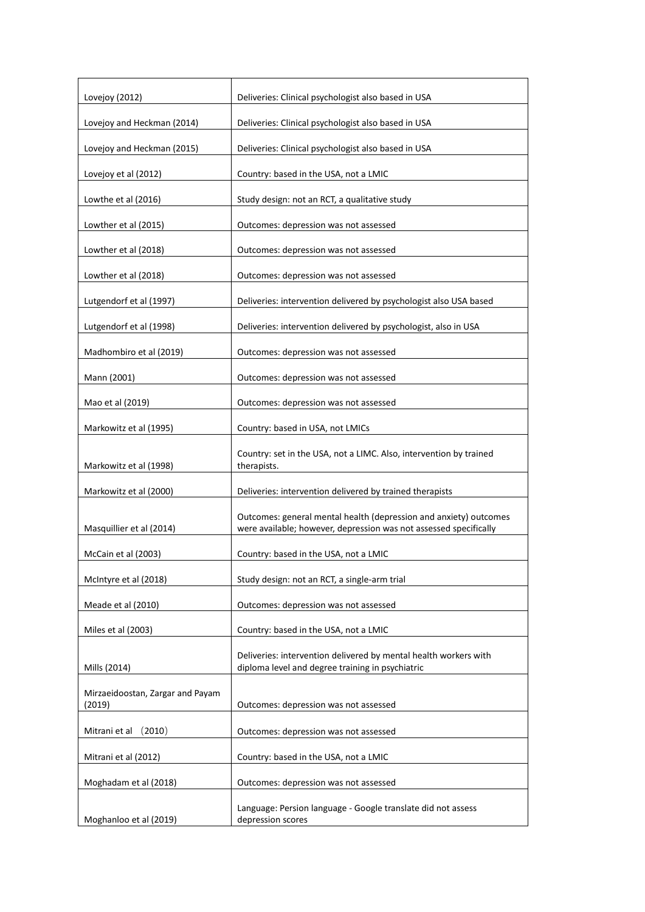| Lovejoy (2012)                             | Deliveries: Clinical psychologist also based in USA                                                                                    |
|--------------------------------------------|----------------------------------------------------------------------------------------------------------------------------------------|
| Lovejoy and Heckman (2014)                 | Deliveries: Clinical psychologist also based in USA                                                                                    |
| Lovejoy and Heckman (2015)                 | Deliveries: Clinical psychologist also based in USA                                                                                    |
| Lovejoy et al (2012)                       | Country: based in the USA, not a LMIC                                                                                                  |
| Lowthe et al (2016)                        | Study design: not an RCT, a qualitative study                                                                                          |
| Lowther et al (2015)                       | Outcomes: depression was not assessed                                                                                                  |
| Lowther et al (2018)                       | Outcomes: depression was not assessed                                                                                                  |
| Lowther et al (2018)                       | Outcomes: depression was not assessed                                                                                                  |
| Lutgendorf et al (1997)                    | Deliveries: intervention delivered by psychologist also USA based                                                                      |
| Lutgendorf et al (1998)                    | Deliveries: intervention delivered by psychologist, also in USA                                                                        |
| Madhombiro et al (2019)                    | Outcomes: depression was not assessed                                                                                                  |
| Mann (2001)                                | Outcomes: depression was not assessed                                                                                                  |
| Mao et al (2019)                           | Outcomes: depression was not assessed                                                                                                  |
| Markowitz et al (1995)                     | Country: based in USA, not LMICs                                                                                                       |
| Markowitz et al (1998)                     | Country: set in the USA, not a LIMC. Also, intervention by trained<br>therapists.                                                      |
| Markowitz et al (2000)                     | Deliveries: intervention delivered by trained therapists                                                                               |
| Masquillier et al (2014)                   | Outcomes: general mental health (depression and anxiety) outcomes<br>were available; however, depression was not assessed specifically |
| McCain et al (2003)                        | Country: based in the USA, not a LMIC                                                                                                  |
| McIntyre et al (2018)                      | Study design: not an RCT, a single-arm trial                                                                                           |
| Meade et al (2010)                         | Outcomes: depression was not assessed                                                                                                  |
| Miles et al (2003)                         | Country: based in the USA, not a LMIC                                                                                                  |
| Mills (2014)                               | Deliveries: intervention delivered by mental health workers with<br>diploma level and degree training in psychiatric                   |
| Mirzaeidoostan, Zargar and Payam<br>(2019) | Outcomes: depression was not assessed                                                                                                  |
| Mitrani et al (2010)                       | Outcomes: depression was not assessed                                                                                                  |
| Mitrani et al (2012)                       | Country: based in the USA, not a LMIC                                                                                                  |
| Moghadam et al (2018)                      | Outcomes: depression was not assessed                                                                                                  |
| Moghanloo et al (2019)                     | Language: Persion language - Google translate did not assess<br>depression scores                                                      |
|                                            |                                                                                                                                        |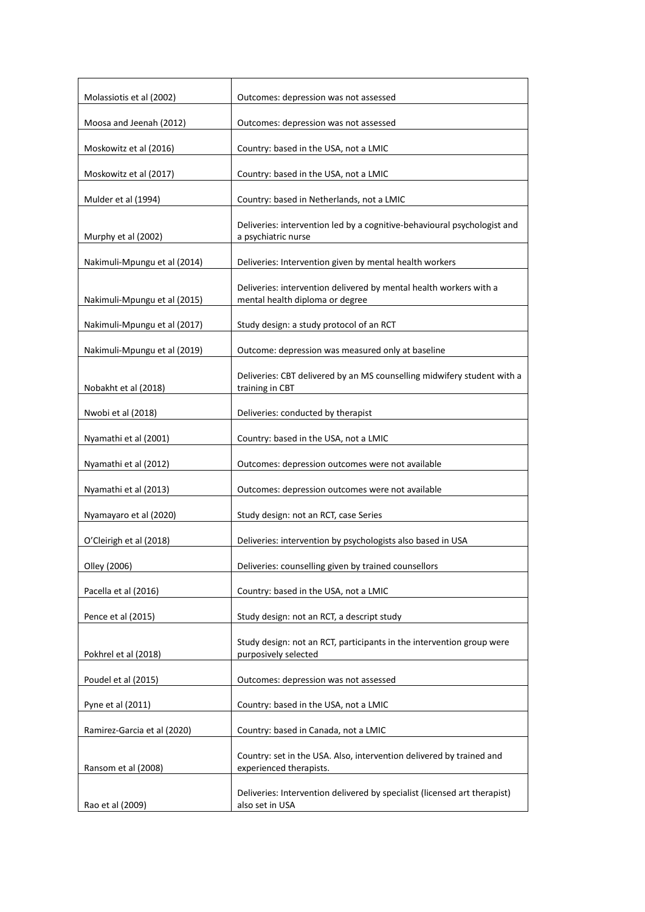| Molassiotis et al (2002)     | Outcomes: depression was not assessed                                                                 |
|------------------------------|-------------------------------------------------------------------------------------------------------|
| Moosa and Jeenah (2012)      | Outcomes: depression was not assessed                                                                 |
| Moskowitz et al (2016)       | Country: based in the USA, not a LMIC                                                                 |
| Moskowitz et al (2017)       | Country: based in the USA, not a LMIC                                                                 |
| Mulder et al (1994)          | Country: based in Netherlands, not a LMIC                                                             |
| Murphy et al (2002)          | Deliveries: intervention led by a cognitive-behavioural psychologist and<br>a psychiatric nurse       |
| Nakimuli-Mpungu et al (2014) | Deliveries: Intervention given by mental health workers                                               |
| Nakimuli-Mpungu et al (2015) | Deliveries: intervention delivered by mental health workers with a<br>mental health diploma or degree |
| Nakimuli-Mpungu et al (2017) | Study design: a study protocol of an RCT                                                              |
| Nakimuli-Mpungu et al (2019) | Outcome: depression was measured only at baseline                                                     |
| Nobakht et al (2018)         | Deliveries: CBT delivered by an MS counselling midwifery student with a<br>training in CBT            |
| Nwobi et al (2018)           | Deliveries: conducted by therapist                                                                    |
| Nyamathi et al (2001)        | Country: based in the USA, not a LMIC                                                                 |
| Nyamathi et al (2012)        | Outcomes: depression outcomes were not available                                                      |
| Nyamathi et al (2013)        | Outcomes: depression outcomes were not available                                                      |
| Nyamayaro et al (2020)       | Study design: not an RCT, case Series                                                                 |
| O'Cleirigh et al (2018)      | Deliveries: intervention by psychologists also based in USA                                           |
| Olley (2006)                 | Deliveries: counselling given by trained counsellors                                                  |
| Pacella et al (2016)         | Country: based in the USA, not a LMIC                                                                 |
| Pence et al (2015)           | Study design: not an RCT, a descript study                                                            |
| Pokhrel et al (2018)         | Study design: not an RCT, participants in the intervention group were<br>purposively selected         |
| Poudel et al (2015)          | Outcomes: depression was not assessed                                                                 |
| Pyne et al (2011)            | Country: based in the USA, not a LMIC                                                                 |
| Ramirez-Garcia et al (2020)  | Country: based in Canada, not a LMIC                                                                  |
| Ransom et al (2008)          | Country: set in the USA. Also, intervention delivered by trained and<br>experienced therapists.       |
| Rao et al (2009)             | Deliveries: Intervention delivered by specialist (licensed art therapist)<br>also set in USA          |
|                              |                                                                                                       |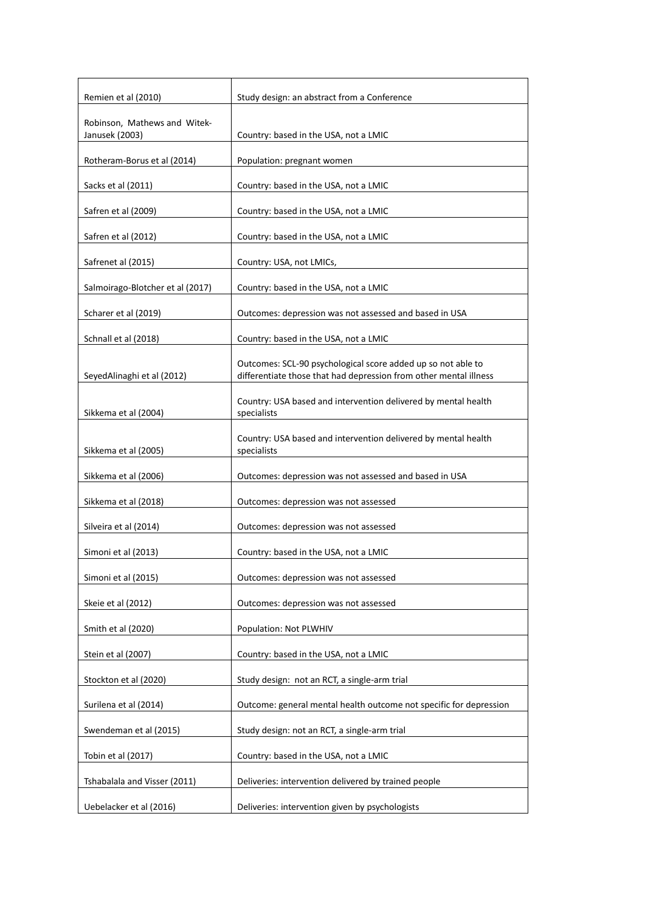| Remien et al (2010)                            | Study design: an abstract from a Conference                                                                                       |
|------------------------------------------------|-----------------------------------------------------------------------------------------------------------------------------------|
| Robinson, Mathews and Witek-<br>Janusek (2003) | Country: based in the USA, not a LMIC                                                                                             |
| Rotheram-Borus et al (2014)                    | Population: pregnant women                                                                                                        |
| Sacks et al (2011)                             | Country: based in the USA, not a LMIC                                                                                             |
| Safren et al (2009)                            | Country: based in the USA, not a LMIC                                                                                             |
| Safren et al (2012)                            | Country: based in the USA, not a LMIC                                                                                             |
| Safrenet al (2015)                             | Country: USA, not LMICs,                                                                                                          |
| Salmoirago-Blotcher et al (2017)               | Country: based in the USA, not a LMIC                                                                                             |
| Scharer et al (2019)                           | Outcomes: depression was not assessed and based in USA                                                                            |
| Schnall et al (2018)                           | Country: based in the USA, not a LMIC                                                                                             |
| SeyedAlinaghi et al (2012)                     | Outcomes: SCL-90 psychological score added up so not able to<br>differentiate those that had depression from other mental illness |
| Sikkema et al (2004)                           | Country: USA based and intervention delivered by mental health<br>specialists                                                     |
| Sikkema et al (2005)                           | Country: USA based and intervention delivered by mental health<br>specialists                                                     |
| Sikkema et al (2006)                           | Outcomes: depression was not assessed and based in USA                                                                            |
| Sikkema et al (2018)                           | Outcomes: depression was not assessed                                                                                             |
| Silveira et al (2014)                          | Outcomes: depression was not assessed                                                                                             |
| Simoni et al (2013)                            | Country: based in the USA, not a LMIC                                                                                             |
| Simoni et al (2015)                            | Outcomes: depression was not assessed                                                                                             |
| Skeie et al (2012)                             | Outcomes: depression was not assessed                                                                                             |
| Smith et al (2020)                             | Population: Not PLWHIV                                                                                                            |
| Stein et al (2007)                             | Country: based in the USA, not a LMIC                                                                                             |
| Stockton et al (2020)                          | Study design: not an RCT, a single-arm trial                                                                                      |
| Surilena et al (2014)                          | Outcome: general mental health outcome not specific for depression                                                                |
| Swendeman et al (2015)                         | Study design: not an RCT, a single-arm trial                                                                                      |
| Tobin et al (2017)                             | Country: based in the USA, not a LMIC                                                                                             |
| Tshabalala and Visser (2011)                   | Deliveries: intervention delivered by trained people                                                                              |
| Uebelacker et al (2016)                        | Deliveries: intervention given by psychologists                                                                                   |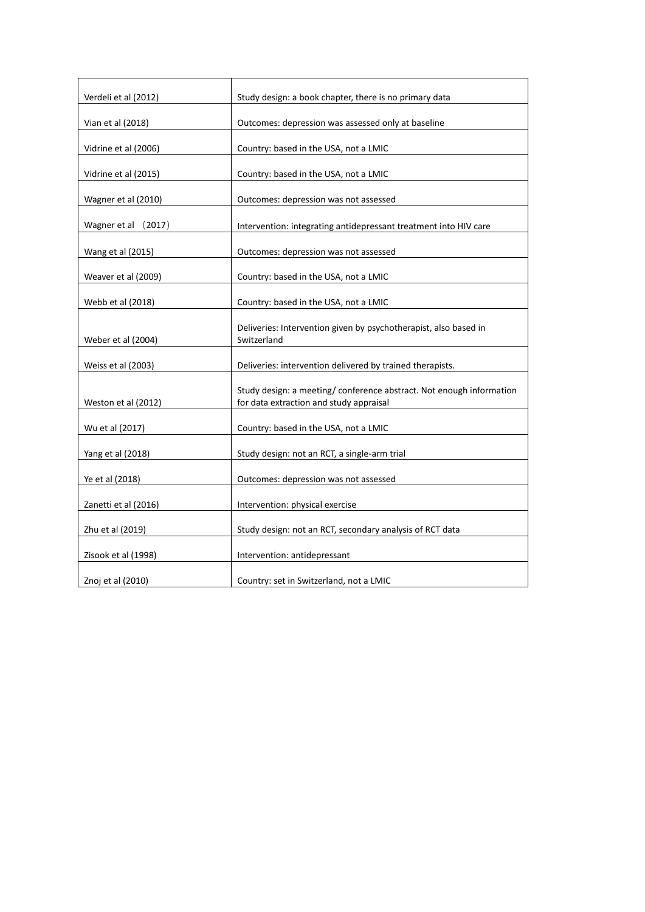| Verdeli et al (2012) | Study design: a book chapter, there is no primary data                                                         |  |
|----------------------|----------------------------------------------------------------------------------------------------------------|--|
| Vian et al (2018)    | Outcomes: depression was assessed only at baseline                                                             |  |
|                      |                                                                                                                |  |
| Vidrine et al (2006) | Country: based in the USA, not a LMIC                                                                          |  |
| Vidrine et al (2015) | Country: based in the USA, not a LMIC                                                                          |  |
| Wagner et al (2010)  | Outcomes: depression was not assessed                                                                          |  |
| Wagner et al (2017)  | Intervention: integrating antidepressant treatment into HIV care                                               |  |
| Wang et al (2015)    | Outcomes: depression was not assessed                                                                          |  |
| Weaver et al (2009)  | Country: based in the USA, not a LMIC                                                                          |  |
| Webb et al (2018)    | Country: based in the USA, not a LMIC                                                                          |  |
| Weber et al (2004)   | Deliveries: Intervention given by psychotherapist, also based in<br>Switzerland                                |  |
| Weiss et al (2003)   | Deliveries: intervention delivered by trained therapists.                                                      |  |
| Weston et al (2012)  | Study design: a meeting/conference abstract. Not enough information<br>for data extraction and study appraisal |  |
| Wu et al (2017)      | Country: based in the USA, not a LMIC                                                                          |  |
| Yang et al (2018)    | Study design: not an RCT, a single-arm trial                                                                   |  |
| Ye et al (2018)      | Outcomes: depression was not assessed                                                                          |  |
| Zanetti et al (2016) | Intervention: physical exercise                                                                                |  |
| Zhu et al (2019)     | Study design: not an RCT, secondary analysis of RCT data                                                       |  |
| Zisook et al (1998)  | Intervention: antidepressant                                                                                   |  |
| Znoj et al (2010)    | Country: set in Switzerland, not a LMIC                                                                        |  |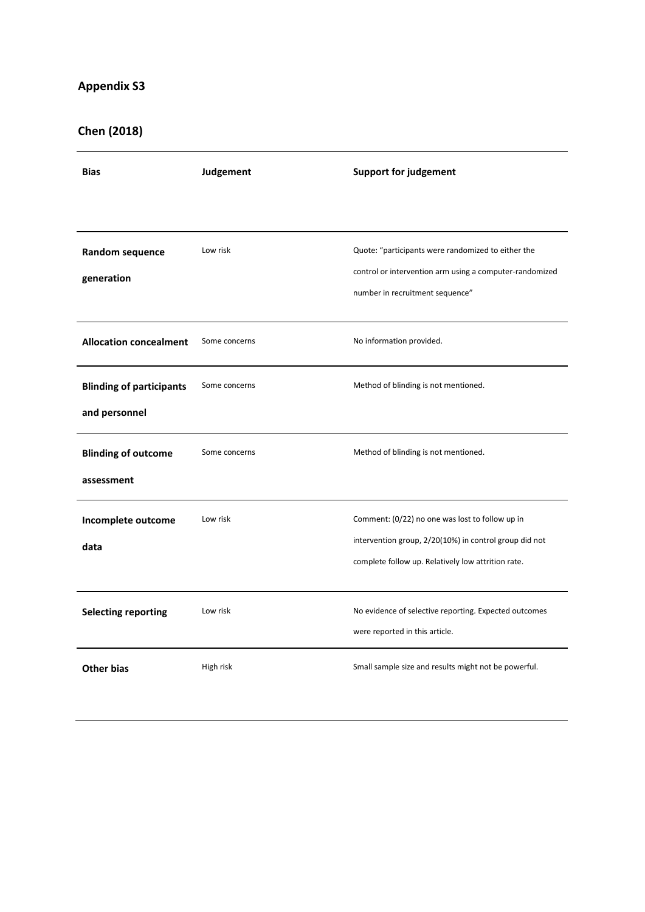# **Chen (2018)**

| <b>Bias</b>                                      | Judgement     | <b>Support for judgement</b>                                                                                                                                    |
|--------------------------------------------------|---------------|-----------------------------------------------------------------------------------------------------------------------------------------------------------------|
|                                                  |               |                                                                                                                                                                 |
| Random sequence<br>generation                    | Low risk      | Quote: "participants were randomized to either the<br>control or intervention arm using a computer-randomized<br>number in recruitment sequence"                |
| <b>Allocation concealment</b>                    | Some concerns | No information provided.                                                                                                                                        |
| <b>Blinding of participants</b><br>and personnel | Some concerns | Method of blinding is not mentioned.                                                                                                                            |
| <b>Blinding of outcome</b><br>assessment         | Some concerns | Method of blinding is not mentioned.                                                                                                                            |
| Incomplete outcome<br>data                       | Low risk      | Comment: (0/22) no one was lost to follow up in<br>intervention group, 2/20(10%) in control group did not<br>complete follow up. Relatively low attrition rate. |
| <b>Selecting reporting</b>                       | Low risk      | No evidence of selective reporting. Expected outcomes<br>were reported in this article.                                                                         |
| <b>Other bias</b>                                | High risk     | Small sample size and results might not be powerful.                                                                                                            |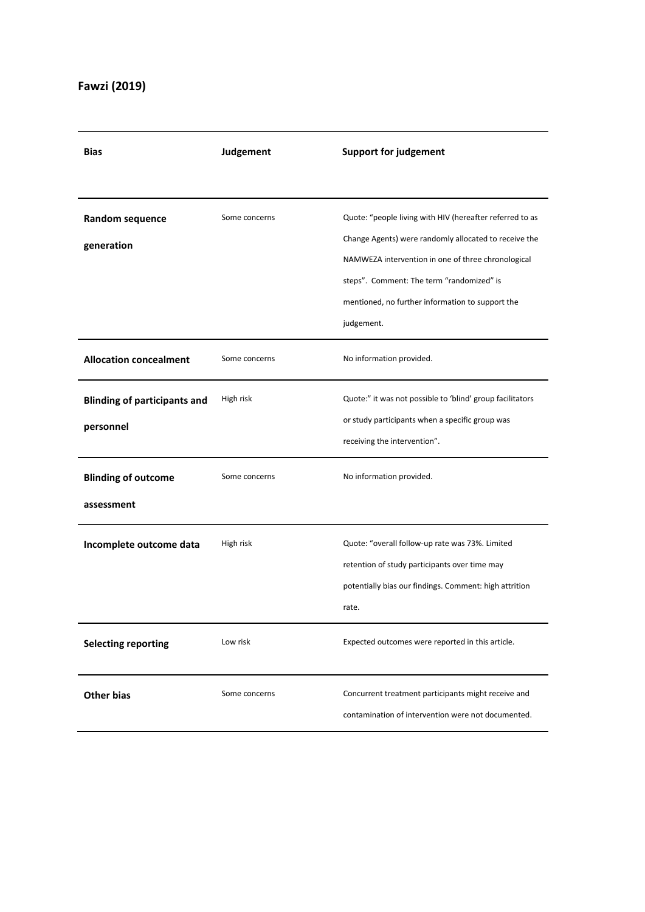## **Fawzi (2019)**

| <b>Bias</b>                         | Judgement     | <b>Support for judgement</b>                              |
|-------------------------------------|---------------|-----------------------------------------------------------|
|                                     |               |                                                           |
| Random sequence                     | Some concerns | Quote: "people living with HIV (hereafter referred to as  |
| generation                          |               | Change Agents) were randomly allocated to receive the     |
|                                     |               | NAMWEZA intervention in one of three chronological        |
|                                     |               | steps". Comment: The term "randomized" is                 |
|                                     |               | mentioned, no further information to support the          |
|                                     |               | judgement.                                                |
| <b>Allocation concealment</b>       | Some concerns | No information provided.                                  |
| <b>Blinding of participants and</b> | High risk     | Quote:" it was not possible to 'blind' group facilitators |
| personnel                           |               | or study participants when a specific group was           |
|                                     |               | receiving the intervention".                              |
| <b>Blinding of outcome</b>          | Some concerns | No information provided.                                  |
| assessment                          |               |                                                           |
| Incomplete outcome data             | High risk     | Quote: "overall follow-up rate was 73%. Limited           |
|                                     |               | retention of study participants over time may             |
|                                     |               | potentially bias our findings. Comment: high attrition    |
|                                     |               | rate.                                                     |
| <b>Selecting reporting</b>          | Low risk      | Expected outcomes were reported in this article.          |
| <b>Other bias</b>                   | Some concerns | Concurrent treatment participants might receive and       |
|                                     |               | contamination of intervention were not documented.        |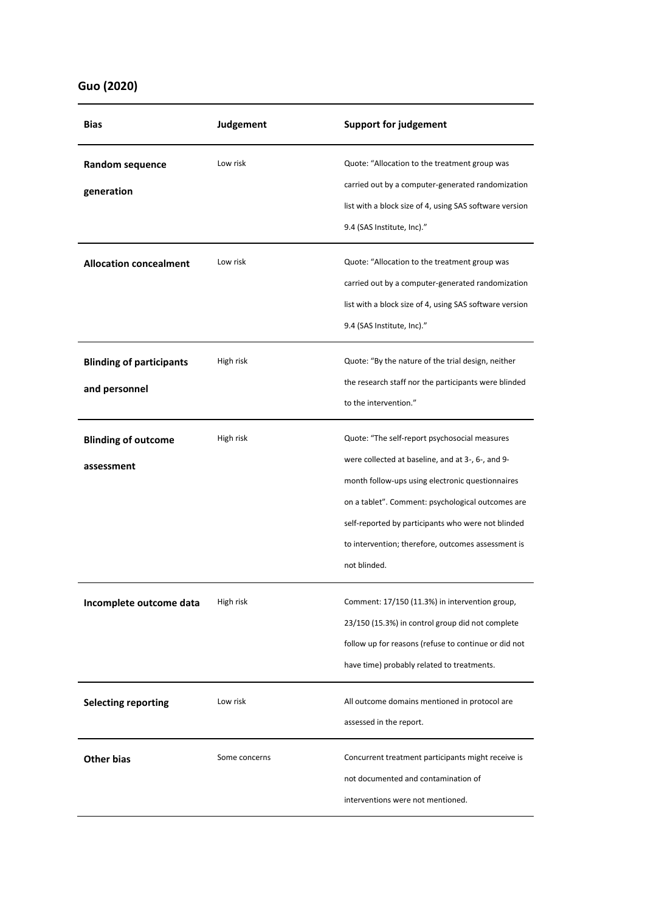### **Guo (2020)**

| Bias                                             | Judgement     | <b>Support for judgement</b>                                                                                                                                                                                                                                                                                                            |
|--------------------------------------------------|---------------|-----------------------------------------------------------------------------------------------------------------------------------------------------------------------------------------------------------------------------------------------------------------------------------------------------------------------------------------|
| Random sequence<br>generation                    | Low risk      | Quote: "Allocation to the treatment group was<br>carried out by a computer-generated randomization<br>list with a block size of 4, using SAS software version<br>9.4 (SAS Institute, Inc)."                                                                                                                                             |
| <b>Allocation concealment</b>                    | Low risk      | Quote: "Allocation to the treatment group was<br>carried out by a computer-generated randomization<br>list with a block size of 4, using SAS software version<br>9.4 (SAS Institute, Inc)."                                                                                                                                             |
| <b>Blinding of participants</b><br>and personnel | High risk     | Quote: "By the nature of the trial design, neither<br>the research staff nor the participants were blinded<br>to the intervention."                                                                                                                                                                                                     |
| <b>Blinding of outcome</b><br>assessment         | High risk     | Quote: "The self-report psychosocial measures<br>were collected at baseline, and at 3-, 6-, and 9-<br>month follow-ups using electronic questionnaires<br>on a tablet". Comment: psychological outcomes are<br>self-reported by participants who were not blinded<br>to intervention; therefore, outcomes assessment is<br>not blinded. |
| Incomplete outcome data                          | High risk     | Comment: 17/150 (11.3%) in intervention group,<br>23/150 (15.3%) in control group did not complete<br>follow up for reasons (refuse to continue or did not<br>have time) probably related to treatments.                                                                                                                                |
| <b>Selecting reporting</b>                       | Low risk      | All outcome domains mentioned in protocol are<br>assessed in the report.                                                                                                                                                                                                                                                                |
| <b>Other bias</b>                                | Some concerns | Concurrent treatment participants might receive is<br>not documented and contamination of<br>interventions were not mentioned.                                                                                                                                                                                                          |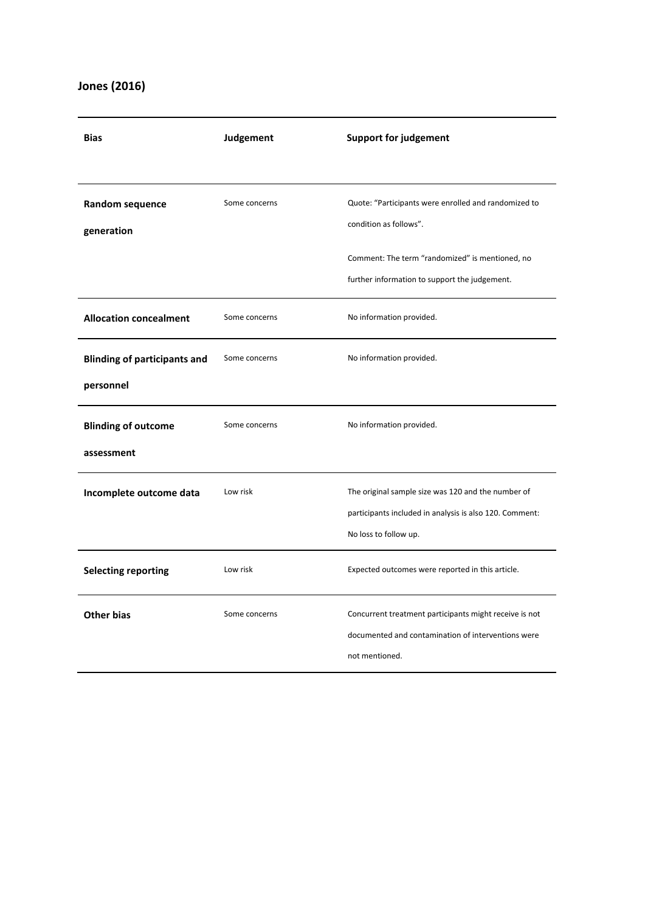### **Jones (2016)**

| <b>Bias</b>                         | Judgement     | <b>Support for judgement</b>                                         |
|-------------------------------------|---------------|----------------------------------------------------------------------|
|                                     |               |                                                                      |
| Random sequence                     | Some concerns | Quote: "Participants were enrolled and randomized to                 |
| generation                          |               | condition as follows".                                               |
|                                     |               | Comment: The term "randomized" is mentioned, no                      |
|                                     |               | further information to support the judgement.                        |
| <b>Allocation concealment</b>       | Some concerns | No information provided.                                             |
| <b>Blinding of participants and</b> | Some concerns | No information provided.                                             |
| personnel                           |               |                                                                      |
| <b>Blinding of outcome</b>          | Some concerns | No information provided.                                             |
| assessment                          |               |                                                                      |
| Incomplete outcome data             | Low risk      | The original sample size was 120 and the number of                   |
|                                     |               | participants included in analysis is also 120. Comment:              |
|                                     |               | No loss to follow up.                                                |
| <b>Selecting reporting</b>          | Low risk      | Expected outcomes were reported in this article.                     |
| <b>Other bias</b>                   | Some concerns | Concurrent treatment participants might receive is not               |
|                                     |               | documented and contamination of interventions were<br>not mentioned. |
|                                     |               |                                                                      |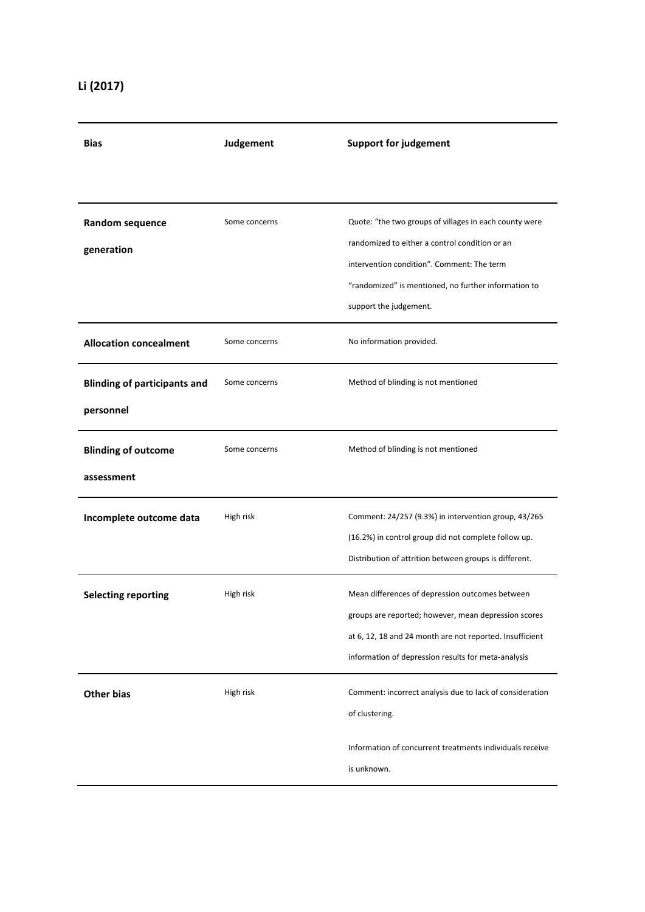| <b>Bias</b>                                      | Judgement     | <b>Support for judgement</b>                                                                                                                                                                                                             |
|--------------------------------------------------|---------------|------------------------------------------------------------------------------------------------------------------------------------------------------------------------------------------------------------------------------------------|
|                                                  |               |                                                                                                                                                                                                                                          |
| Random sequence<br>generation                    | Some concerns | Quote: "the two groups of villages in each county were<br>randomized to either a control condition or an<br>intervention condition". Comment: The term<br>"randomized" is mentioned, no further information to<br>support the judgement. |
| <b>Allocation concealment</b>                    | Some concerns | No information provided.                                                                                                                                                                                                                 |
| <b>Blinding of participants and</b><br>personnel | Some concerns | Method of blinding is not mentioned                                                                                                                                                                                                      |
| <b>Blinding of outcome</b><br>assessment         | Some concerns | Method of blinding is not mentioned                                                                                                                                                                                                      |
| Incomplete outcome data                          | High risk     | Comment: 24/257 (9.3%) in intervention group, 43/265<br>(16.2%) in control group did not complete follow up.<br>Distribution of attrition between groups is different.                                                                   |
| <b>Selecting reporting</b>                       | High risk     | Mean differences of depression outcomes between<br>groups are reported; however, mean depression scores<br>at 6, 12, 18 and 24 month are not reported. Insufficient<br>information of depression results for meta-analysis               |
| <b>Other bias</b>                                | High risk     | Comment: incorrect analysis due to lack of consideration<br>of clustering.                                                                                                                                                               |
|                                                  |               | Information of concurrent treatments individuals receive<br>is unknown.                                                                                                                                                                  |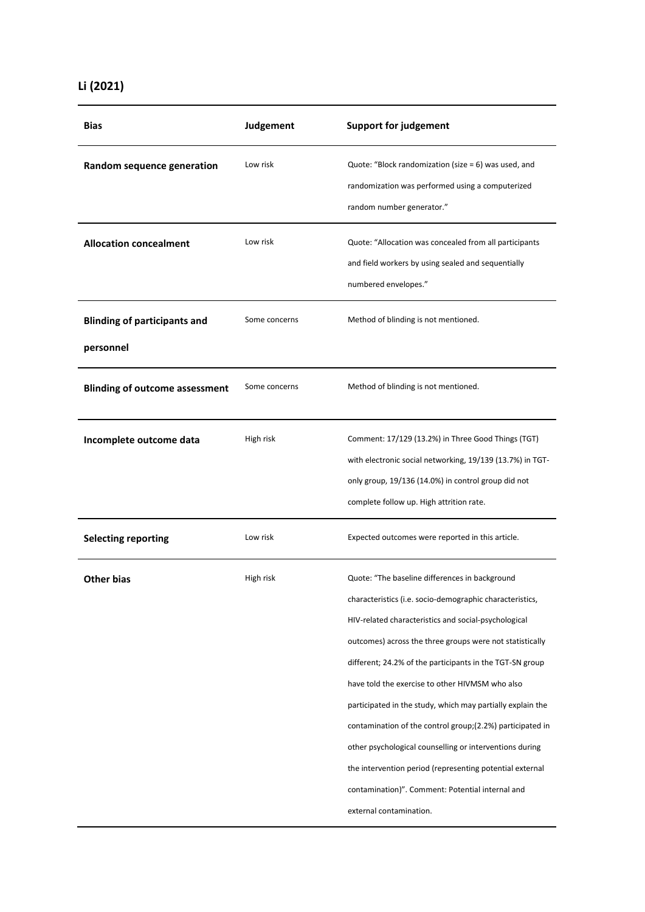|  | Li (2021) |
|--|-----------|
|--|-----------|

| <b>Bias</b>                                      | Judgement     | <b>Support for judgement</b>                                                                                                                                                                                                                                                                                                                                                                                                                                                                                                                                                                                                                                                   |
|--------------------------------------------------|---------------|--------------------------------------------------------------------------------------------------------------------------------------------------------------------------------------------------------------------------------------------------------------------------------------------------------------------------------------------------------------------------------------------------------------------------------------------------------------------------------------------------------------------------------------------------------------------------------------------------------------------------------------------------------------------------------|
| Random sequence generation                       | Low risk      | Quote: "Block randomization (size = $6$ ) was used, and<br>randomization was performed using a computerized<br>random number generator."                                                                                                                                                                                                                                                                                                                                                                                                                                                                                                                                       |
| <b>Allocation concealment</b>                    | Low risk      | Quote: "Allocation was concealed from all participants<br>and field workers by using sealed and sequentially<br>numbered envelopes."                                                                                                                                                                                                                                                                                                                                                                                                                                                                                                                                           |
| <b>Blinding of participants and</b><br>personnel | Some concerns | Method of blinding is not mentioned.                                                                                                                                                                                                                                                                                                                                                                                                                                                                                                                                                                                                                                           |
| <b>Blinding of outcome assessment</b>            | Some concerns | Method of blinding is not mentioned.                                                                                                                                                                                                                                                                                                                                                                                                                                                                                                                                                                                                                                           |
| Incomplete outcome data                          | High risk     | Comment: 17/129 (13.2%) in Three Good Things (TGT)<br>with electronic social networking, 19/139 (13.7%) in TGT-<br>only group, 19/136 (14.0%) in control group did not<br>complete follow up. High attrition rate.                                                                                                                                                                                                                                                                                                                                                                                                                                                             |
| <b>Selecting reporting</b>                       | Low risk      | Expected outcomes were reported in this article.                                                                                                                                                                                                                                                                                                                                                                                                                                                                                                                                                                                                                               |
| <b>Other bias</b>                                | High risk     | Quote: "The baseline differences in background<br>characteristics (i.e. socio-demographic characteristics,<br>HIV-related characteristics and social-psychological<br>outcomes) across the three groups were not statistically<br>different; 24.2% of the participants in the TGT-SN group<br>have told the exercise to other HIVMSM who also<br>participated in the study, which may partially explain the<br>contamination of the control group;(2.2%) participated in<br>other psychological counselling or interventions during<br>the intervention period (representing potential external<br>contamination)". Comment: Potential internal and<br>external contamination. |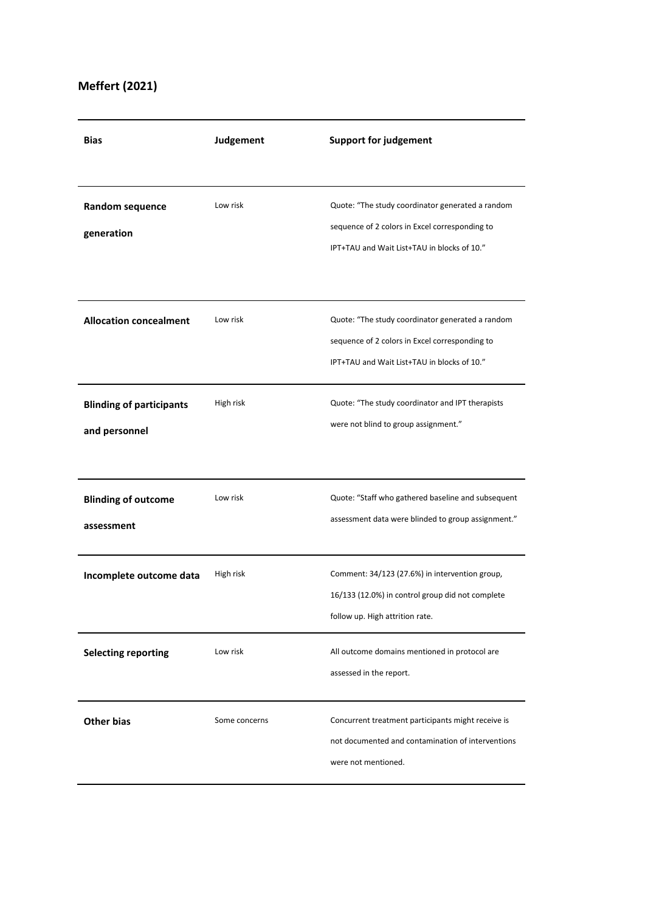## **Meffert (2021)**

| <b>Bias</b>                                      | Judgement     | <b>Support for judgement</b>                                                                                                                      |
|--------------------------------------------------|---------------|---------------------------------------------------------------------------------------------------------------------------------------------------|
|                                                  |               |                                                                                                                                                   |
| Random sequence<br>generation                    | Low risk      | Quote: "The study coordinator generated a random<br>sequence of 2 colors in Excel corresponding to<br>IPT+TAU and Wait List+TAU in blocks of 10." |
|                                                  |               |                                                                                                                                                   |
| <b>Allocation concealment</b>                    | Low risk      | Quote: "The study coordinator generated a random<br>sequence of 2 colors in Excel corresponding to<br>IPT+TAU and Wait List+TAU in blocks of 10." |
| <b>Blinding of participants</b><br>and personnel | High risk     | Quote: "The study coordinator and IPT therapists<br>were not blind to group assignment."                                                          |
| <b>Blinding of outcome</b><br>assessment         | Low risk      | Quote: "Staff who gathered baseline and subsequent<br>assessment data were blinded to group assignment."                                          |
| Incomplete outcome data                          | High risk     | Comment: 34/123 (27.6%) in intervention group,<br>16/133 (12.0%) in control group did not complete<br>follow up. High attrition rate.             |
| <b>Selecting reporting</b>                       | Low risk      | All outcome domains mentioned in protocol are<br>assessed in the report.                                                                          |
| <b>Other bias</b>                                | Some concerns | Concurrent treatment participants might receive is<br>not documented and contamination of interventions<br>were not mentioned.                    |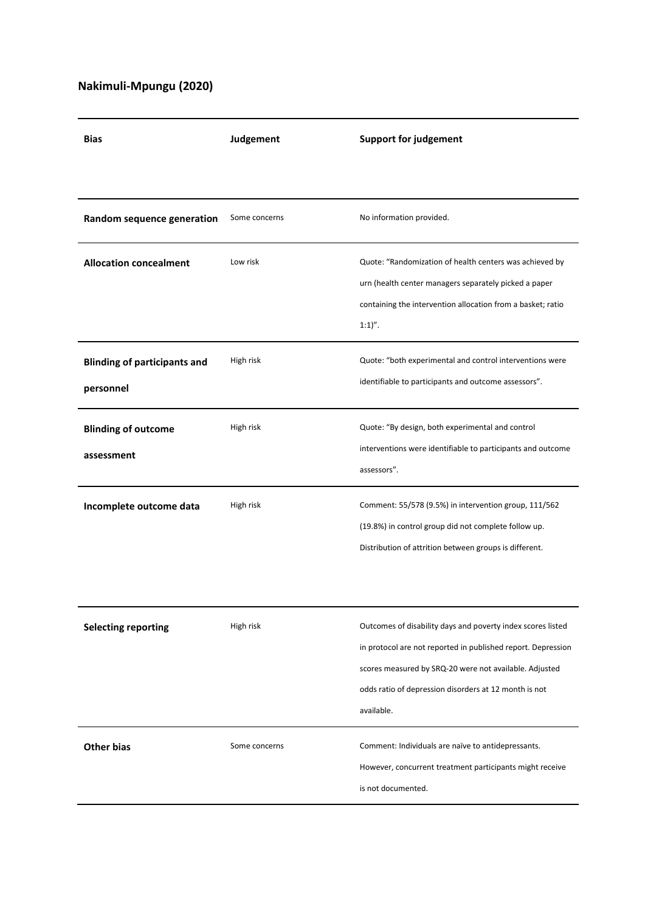## **Nakimuli-Mpungu (2020)**

| <b>Bias</b>                                      | Judgement     | <b>Support for judgement</b>                                                                                                                                                                                                                                 |
|--------------------------------------------------|---------------|--------------------------------------------------------------------------------------------------------------------------------------------------------------------------------------------------------------------------------------------------------------|
|                                                  |               |                                                                                                                                                                                                                                                              |
| Random sequence generation                       | Some concerns | No information provided.                                                                                                                                                                                                                                     |
| <b>Allocation concealment</b>                    | Low risk      | Quote: "Randomization of health centers was achieved by<br>urn (health center managers separately picked a paper<br>containing the intervention allocation from a basket; ratio<br>$1:1)''$ .                                                                |
| <b>Blinding of participants and</b><br>personnel | High risk     | Quote: "both experimental and control interventions were<br>identifiable to participants and outcome assessors".                                                                                                                                             |
| <b>Blinding of outcome</b><br>assessment         | High risk     | Quote: "By design, both experimental and control<br>interventions were identifiable to participants and outcome<br>assessors".                                                                                                                               |
| Incomplete outcome data                          | High risk     | Comment: 55/578 (9.5%) in intervention group, 111/562<br>(19.8%) in control group did not complete follow up.<br>Distribution of attrition between groups is different.                                                                                      |
| <b>Selecting reporting</b>                       | High risk     | Outcomes of disability days and poverty index scores listed<br>in protocol are not reported in published report. Depression<br>scores measured by SRQ-20 were not available. Adjusted<br>odds ratio of depression disorders at 12 month is not<br>available. |
| <b>Other bias</b>                                | Some concerns | Comment: Individuals are naïve to antidepressants.<br>However, concurrent treatment participants might receive<br>is not documented.                                                                                                                         |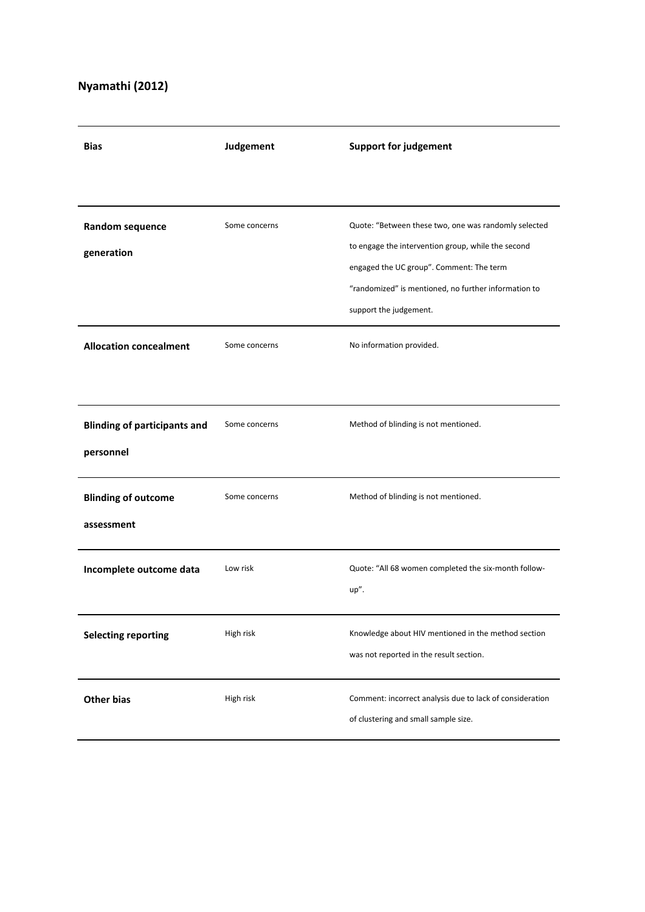# **Nyamathi (2012)**

| <b>Bias</b>                                      | Judgement     | <b>Support for judgement</b>                                                                                                                                                                                                             |
|--------------------------------------------------|---------------|------------------------------------------------------------------------------------------------------------------------------------------------------------------------------------------------------------------------------------------|
|                                                  |               |                                                                                                                                                                                                                                          |
| Random sequence<br>generation                    | Some concerns | Quote: "Between these two, one was randomly selected<br>to engage the intervention group, while the second<br>engaged the UC group". Comment: The term<br>"randomized" is mentioned, no further information to<br>support the judgement. |
| <b>Allocation concealment</b>                    | Some concerns | No information provided.                                                                                                                                                                                                                 |
| <b>Blinding of participants and</b><br>personnel | Some concerns | Method of blinding is not mentioned.                                                                                                                                                                                                     |
| <b>Blinding of outcome</b><br>assessment         | Some concerns | Method of blinding is not mentioned.                                                                                                                                                                                                     |
| Incomplete outcome data                          | Low risk      | Quote: "All 68 women completed the six-month follow-<br>up".                                                                                                                                                                             |
| <b>Selecting reporting</b>                       | High risk     | Knowledge about HIV mentioned in the method section<br>was not reported in the result section.                                                                                                                                           |
| <b>Other bias</b>                                | High risk     | Comment: incorrect analysis due to lack of consideration<br>of clustering and small sample size.                                                                                                                                         |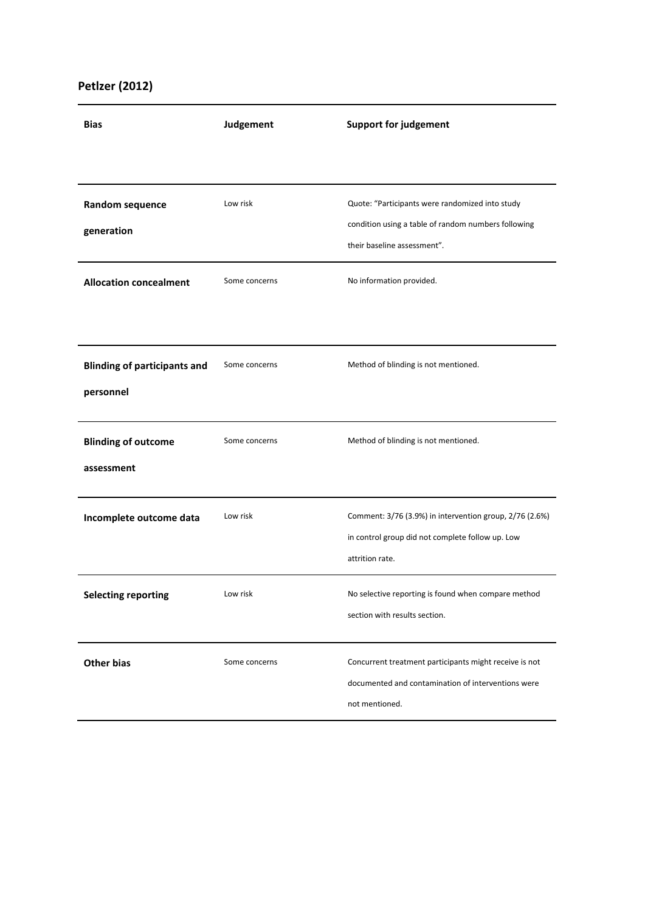## **Petlzer (2012)**

| <b>Bias</b>                                      | Judgement     | <b>Support for judgement</b>                                                                                                          |
|--------------------------------------------------|---------------|---------------------------------------------------------------------------------------------------------------------------------------|
|                                                  |               |                                                                                                                                       |
| Random sequence<br>generation                    | Low risk      | Quote: "Participants were randomized into study<br>condition using a table of random numbers following<br>their baseline assessment". |
| <b>Allocation concealment</b>                    | Some concerns | No information provided.                                                                                                              |
| <b>Blinding of participants and</b><br>personnel | Some concerns | Method of blinding is not mentioned.                                                                                                  |
| <b>Blinding of outcome</b><br>assessment         | Some concerns | Method of blinding is not mentioned.                                                                                                  |
| Incomplete outcome data                          | Low risk      | Comment: 3/76 (3.9%) in intervention group, 2/76 (2.6%)<br>in control group did not complete follow up. Low<br>attrition rate.        |
| <b>Selecting reporting</b>                       | Low risk      | No selective reporting is found when compare method<br>section with results section.                                                  |
| <b>Other bias</b>                                | Some concerns | Concurrent treatment participants might receive is not<br>documented and contamination of interventions were<br>not mentioned.        |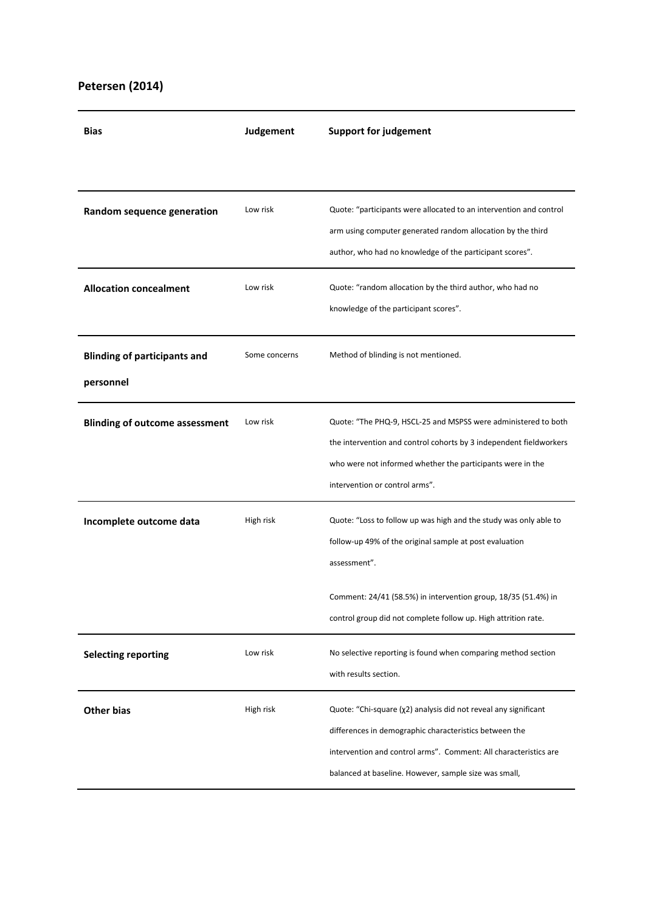### **Petersen (2014)**

| <b>Bias</b>                                      | Judgement     | <b>Support for judgement</b>                                                                                                                                                                                                                           |
|--------------------------------------------------|---------------|--------------------------------------------------------------------------------------------------------------------------------------------------------------------------------------------------------------------------------------------------------|
|                                                  |               |                                                                                                                                                                                                                                                        |
| Random sequence generation                       | Low risk      | Quote: "participants were allocated to an intervention and control<br>arm using computer generated random allocation by the third<br>author, who had no knowledge of the participant scores".                                                          |
| <b>Allocation concealment</b>                    | Low risk      | Quote: "random allocation by the third author, who had no<br>knowledge of the participant scores".                                                                                                                                                     |
| <b>Blinding of participants and</b><br>personnel | Some concerns | Method of blinding is not mentioned.                                                                                                                                                                                                                   |
| <b>Blinding of outcome assessment</b>            | Low risk      | Quote: "The PHQ-9, HSCL-25 and MSPSS were administered to both<br>the intervention and control cohorts by 3 independent fieldworkers<br>who were not informed whether the participants were in the<br>intervention or control arms".                   |
| Incomplete outcome data                          | High risk     | Quote: "Loss to follow up was high and the study was only able to<br>follow-up 49% of the original sample at post evaluation<br>assessment".<br>Comment: 24/41 (58.5%) in intervention group, 18/35 (51.4%) in                                         |
|                                                  |               | control group did not complete follow up. High attrition rate.                                                                                                                                                                                         |
| <b>Selecting reporting</b>                       | Low risk      | No selective reporting is found when comparing method section<br>with results section.                                                                                                                                                                 |
| <b>Other bias</b>                                | High risk     | Quote: "Chi-square (χ2) analysis did not reveal any significant<br>differences in demographic characteristics between the<br>intervention and control arms". Comment: All characteristics are<br>balanced at baseline. However, sample size was small, |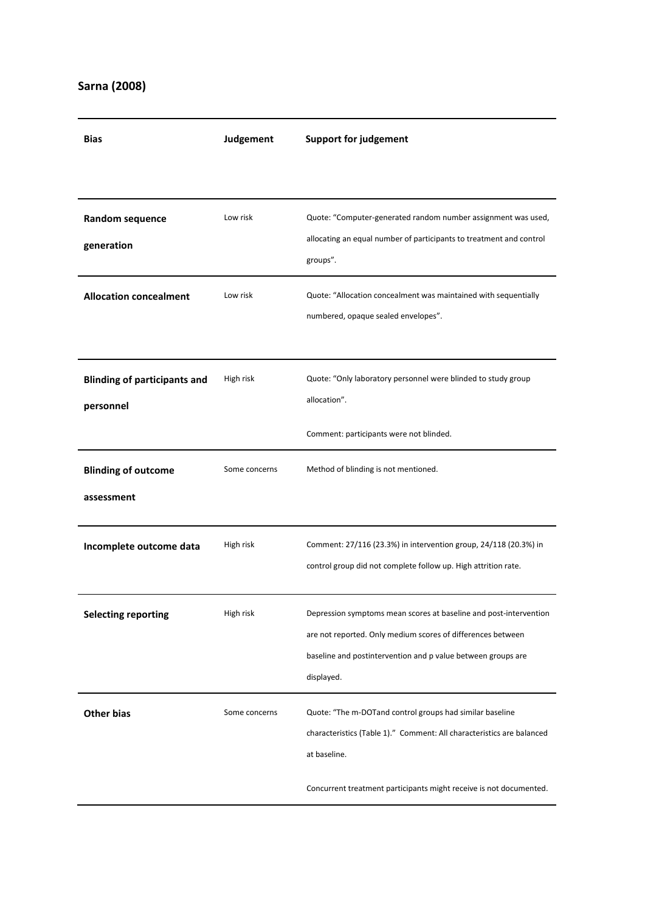## **Sarna (2008)**

| <b>Bias</b>                                      | Judgement     | <b>Support for judgement</b>                                                                                                                                                                                   |
|--------------------------------------------------|---------------|----------------------------------------------------------------------------------------------------------------------------------------------------------------------------------------------------------------|
|                                                  |               |                                                                                                                                                                                                                |
| Random sequence<br>generation                    | Low risk      | Quote: "Computer-generated random number assignment was used,<br>allocating an equal number of participants to treatment and control<br>groups".                                                               |
| <b>Allocation concealment</b>                    | Low risk      | Quote: "Allocation concealment was maintained with sequentially<br>numbered, opaque sealed envelopes".                                                                                                         |
| <b>Blinding of participants and</b><br>personnel | High risk     | Quote: "Only laboratory personnel were blinded to study group<br>allocation".<br>Comment: participants were not blinded.                                                                                       |
| <b>Blinding of outcome</b><br>assessment         | Some concerns | Method of blinding is not mentioned.                                                                                                                                                                           |
| Incomplete outcome data                          | High risk     | Comment: 27/116 (23.3%) in intervention group, 24/118 (20.3%) in<br>control group did not complete follow up. High attrition rate.                                                                             |
| <b>Selecting reporting</b>                       | High risk     | Depression symptoms mean scores at baseline and post-intervention<br>are not reported. Only medium scores of differences between<br>baseline and postintervention and p value between groups are<br>displayed. |
| <b>Other bias</b>                                | Some concerns | Quote: "The m-DOTand control groups had similar baseline<br>characteristics (Table 1)." Comment: All characteristics are balanced<br>at baseline.                                                              |
|                                                  |               | Concurrent treatment participants might receive is not documented.                                                                                                                                             |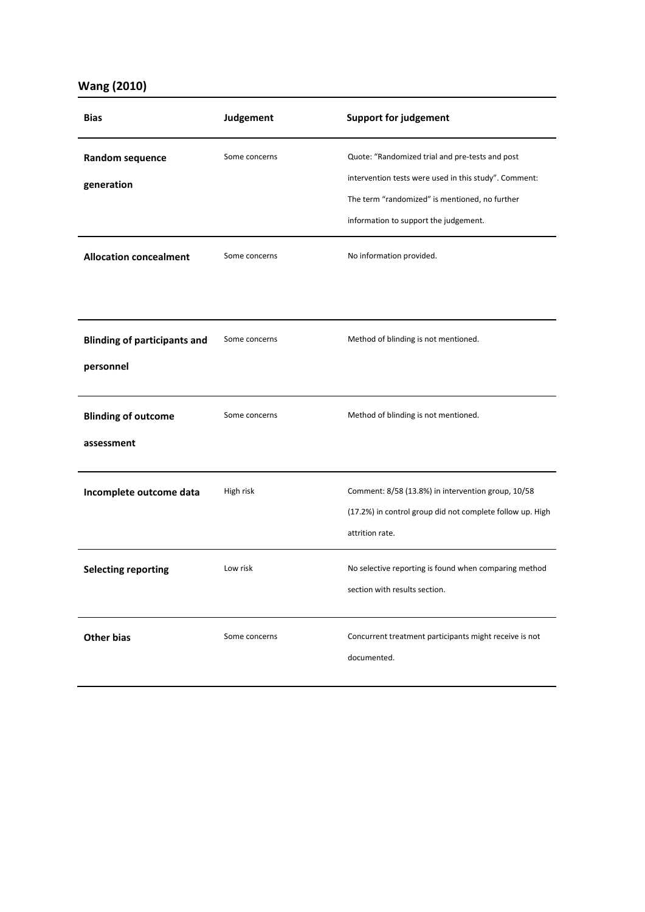### **Wang (2010)**

| <b>Bias</b>                                      | Judgement     | <b>Support for judgement</b>                                                                                                                                                                        |
|--------------------------------------------------|---------------|-----------------------------------------------------------------------------------------------------------------------------------------------------------------------------------------------------|
| Random sequence<br>generation                    | Some concerns | Quote: "Randomized trial and pre-tests and post<br>intervention tests were used in this study". Comment:<br>The term "randomized" is mentioned, no further<br>information to support the judgement. |
| <b>Allocation concealment</b>                    | Some concerns | No information provided.                                                                                                                                                                            |
| <b>Blinding of participants and</b><br>personnel | Some concerns | Method of blinding is not mentioned.                                                                                                                                                                |
| <b>Blinding of outcome</b><br>assessment         | Some concerns | Method of blinding is not mentioned.                                                                                                                                                                |
| Incomplete outcome data                          | High risk     | Comment: 8/58 (13.8%) in intervention group, 10/58<br>(17.2%) in control group did not complete follow up. High<br>attrition rate.                                                                  |
| <b>Selecting reporting</b>                       | Low risk      | No selective reporting is found when comparing method<br>section with results section.                                                                                                              |
| <b>Other bias</b>                                | Some concerns | Concurrent treatment participants might receive is not<br>documented.                                                                                                                               |